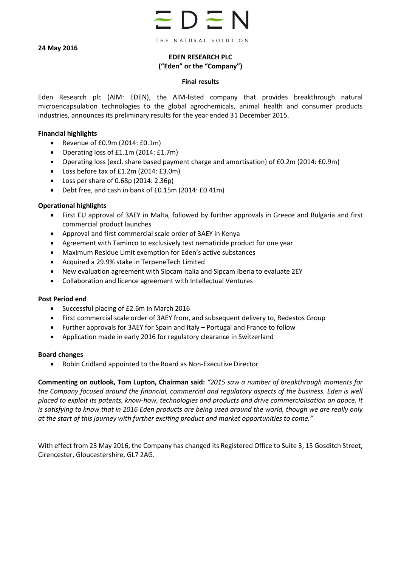

**24 May 2016**

# **EDEN RESEARCH PLC ("Eden" or the "Company")**

#### **Final results**

Eden Research plc (AIM: EDEN), the AIM-listed company that provides breakthrough natural microencapsulation technologies to the global agrochemicals, animal health and consumer products industries, announces its preliminary results for the year ended 31 December 2015.

#### **Financial highlights**

- Revenue of £0.9m (2014: £0.1m)
- Operating loss of £1.1m (2014: £1.7m)
- Operating loss (excl. share based payment charge and amortisation) of £0.2m (2014: £0.9m)
- Loss before tax of £1.2m (2014: £3.0m)
- Loss per share of 0.68p (2014: 2.36p)
- Debt free, and cash in bank of £0.15m (2014: £0.41m)

### **Operational highlights**

- First EU approval of 3AEY in Malta, followed by further approvals in Greece and Bulgaria and first commercial product launches
- Approval and first commercial scale order of 3AEY in Kenya
- Agreement with Taminco to exclusively test nematicide product for one year
- Maximum Residue Limit exemption for Eden's active substances
- Acquired a 29.9% stake in TerpeneTech Limited
- New evaluation agreement with Sipcam Italia and Sipcam Iberia to evaluate 2EY
- Collaboration and licence agreement with Intellectual Ventures

### **Post Period end**

- Successful placing of £2.6m in March 2016
- First commercial scale order of 3AEY from, and subsequent delivery to, Redestos Group
- Further approvals for 3AEY for Spain and Italy Portugal and France to follow
- Application made in early 2016 for regulatory clearance in Switzerland

#### **Board changes**

Robin Cridland appointed to the Board as Non-Executive Director

**Commenting on outlook, Tom Lupton, Chairman said:** *"2015 saw a number of breakthrough moments for the Company focused around the financial, commercial and regulatory aspects of the business. Eden is well placed to exploit its patents, know-how, technologies and products and drive commercialisation on apace. It is satisfying to know that in 2016 Eden products are being used around the world, though we are really only at the start of this journey with further exciting product and market opportunities to come."*

With effect from 23 May 2016, the Company has changed its Registered Office to Suite 3, 15 Gosditch Street, Cirencester, Gloucestershire, GL7 2AG.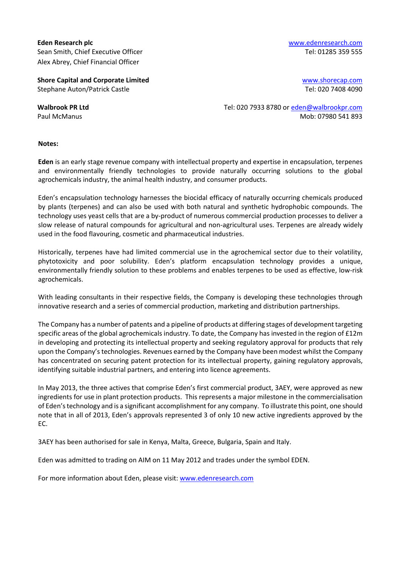**Eden Research plc** [www.edenresearch.com](http://www.edenresearch.com/) Sean Smith, Chief Executive Officer Tel: 01285 359 555 Alex Abrey, Chief Financial Officer

**Shore Capital and Corporate Limited** [www.shorecap.com](http://www.shorecap.com/) Stephane Auton/Patrick Castle Tel: 020 7408 4090

**Walbrook PR Ltd** Tel: 020 7933 8780 or [eden@walbrookpr.com](mailto:eden@walbrookpr.com) Paul McManus **Mob: 07980 541 893** 

# **Notes:**

**Eden** is an early stage revenue company with intellectual property and expertise in encapsulation, terpenes and environmentally friendly technologies to provide naturally occurring solutions to the global agrochemicals industry, the animal health industry, and consumer products.

Eden's encapsulation technology harnesses the biocidal efficacy of naturally occurring chemicals produced by plants (terpenes) and can also be used with both natural and synthetic hydrophobic compounds. The technology uses yeast cells that are a by-product of numerous commercial production processes to deliver a slow release of natural compounds for agricultural and non-agricultural uses. Terpenes are already widely used in the food flavouring, cosmetic and pharmaceutical industries.

Historically, terpenes have had limited commercial use in the agrochemical sector due to their volatility, phytotoxicity and poor solubility. Eden's platform encapsulation technology provides a unique, environmentally friendly solution to these problems and enables terpenes to be used as effective, low-risk agrochemicals.

With leading consultants in their respective fields, the Company is developing these technologies through innovative research and a series of commercial production, marketing and distribution partnerships.

The Company has a number of patents and a pipeline of products at differing stages of development targeting specific areas of the global agrochemicals industry. To date, the Company has invested in the region of £12m in developing and protecting its intellectual property and seeking regulatory approval for products that rely upon the Company's technologies. Revenues earned by the Company have been modest whilst the Company has concentrated on securing patent protection for its intellectual property, gaining regulatory approvals, identifying suitable industrial partners, and entering into licence agreements.

In May 2013, the three actives that comprise Eden's first commercial product, 3AEY, were approved as new ingredients for use in plant protection products. This represents a major milestone in the commercialisation of Eden's technology and is a significant accomplishment for any company. To illustrate this point, one should note that in all of 2013, Eden's approvals represented 3 of only 10 new active ingredients approved by the EC.

3AEY has been authorised for sale in Kenya, Malta, Greece, Bulgaria, Spain and Italy.

Eden was admitted to trading on AIM on 11 May 2012 and trades under the symbol EDEN.

For more information about Eden, please visit: www.edenresearch.com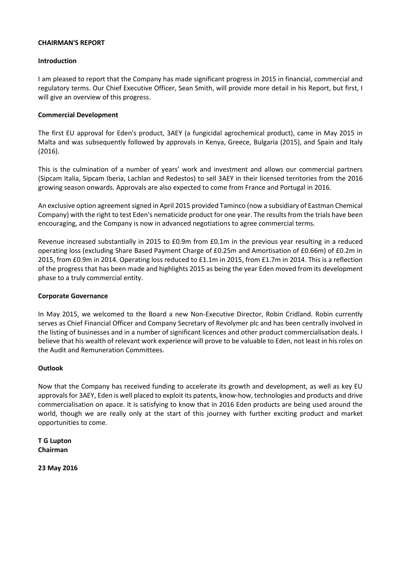### **CHAIRMAN'S REPORT**

#### **Introduction**

I am pleased to report that the Company has made significant progress in 2015 in financial, commercial and regulatory terms. Our Chief Executive Officer, Sean Smith, will provide more detail in his Report, but first, I will give an overview of this progress.

#### **Commercial Development**

The first EU approval for Eden's product, 3AEY (a fungicidal agrochemical product), came in May 2015 in Malta and was subsequently followed by approvals in Kenya, Greece, Bulgaria (2015), and Spain and Italy (2016).

This is the culmination of a number of years' work and investment and allows our commercial partners (Sipcam Italia, Sipcam Iberia, Lachlan and Redestos) to sell 3AEY in their licensed territories from the 2016 growing season onwards. Approvals are also expected to come from France and Portugal in 2016.

An exclusive option agreement signed in April 2015 provided Taminco (now a subsidiary of Eastman Chemical Company) with the right to test Eden's nematicide product for one year. The results from the trials have been encouraging, and the Company is now in advanced negotiations to agree commercial terms.

Revenue increased substantially in 2015 to £0.9m from £0.1m in the previous year resulting in a reduced operating loss (excluding Share Based Payment Charge of £0.25m and Amortisation of £0.66m) of £0.2m in 2015, from £0.9m in 2014. Operating loss reduced to £1.1m in 2015, from £1.7m in 2014. This is a reflection of the progress that has been made and highlights 2015 as being the year Eden moved from its development phase to a truly commercial entity.

### **Corporate Governance**

In May 2015, we welcomed to the Board a new Non-Executive Director, Robin Cridland. Robin currently serves as Chief Financial Officer and Company Secretary of Revolymer plc and has been centrally involved in the listing of businesses and in a number of significant licences and other product commercialisation deals. I believe that his wealth of relevant work experience will prove to be valuable to Eden, not least in his roles on the Audit and Remuneration Committees.

### **Outlook**

Now that the Company has received funding to accelerate its growth and development, as well as key EU approvals for 3AEY, Eden is well placed to exploit its patents, know-how, technologies and products and drive commercialisation on apace. It is satisfying to know that in 2016 Eden products are being used around the world, though we are really only at the start of this journey with further exciting product and market opportunities to come.

**T G Lupton Chairman**

**23 May 2016**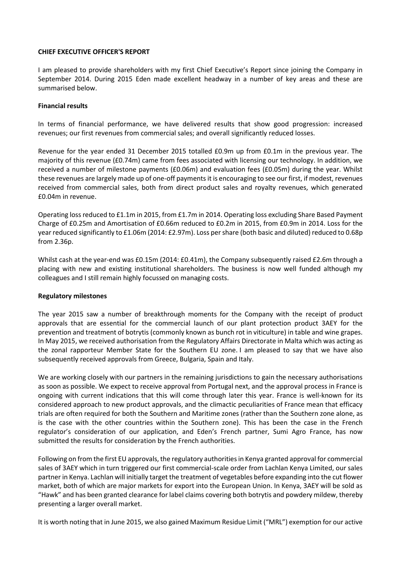#### **CHIEF EXECUTIVE OFFICER'S REPORT**

I am pleased to provide shareholders with my first Chief Executive's Report since joining the Company in September 2014. During 2015 Eden made excellent headway in a number of key areas and these are summarised below.

#### **Financial results**

In terms of financial performance, we have delivered results that show good progression: increased revenues; our first revenues from commercial sales; and overall significantly reduced losses.

Revenue for the year ended 31 December 2015 totalled £0.9m up from £0.1m in the previous year. The majority of this revenue (£0.74m) came from fees associated with licensing our technology. In addition, we received a number of milestone payments (£0.06m) and evaluation fees (£0.05m) during the year. Whilst these revenues are largely made up of one-off payments it is encouraging to see our first, if modest, revenues received from commercial sales, both from direct product sales and royalty revenues, which generated £0.04m in revenue.

Operating loss reduced to £1.1m in 2015, from £1.7m in 2014. Operating loss excluding Share Based Payment Charge of £0.25m and Amortisation of £0.66m reduced to £0.2m in 2015, from £0.9m in 2014. Loss for the year reduced significantly to £1.06m (2014: £2.97m). Loss per share (both basic and diluted) reduced to 0.68p from 2.36p.

Whilst cash at the year-end was £0.15m (2014: £0.41m), the Company subsequently raised £2.6m through a placing with new and existing institutional shareholders. The business is now well funded although my colleagues and I still remain highly focussed on managing costs.

### **Regulatory milestones**

The year 2015 saw a number of breakthrough moments for the Company with the receipt of product approvals that are essential for the commercial launch of our plant protection product 3AEY for the prevention and treatment of botrytis (commonly known as bunch rot in viticulture) in table and wine grapes. In May 2015, we received authorisation from the Regulatory Affairs Directorate in Malta which was acting as the zonal rapporteur Member State for the Southern EU zone. I am pleased to say that we have also subsequently received approvals from Greece, Bulgaria, Spain and Italy.

We are working closely with our partners in the remaining jurisdictions to gain the necessary authorisations as soon as possible. We expect to receive approval from Portugal next, and the approval process in France is ongoing with current indications that this will come through later this year. France is well-known for its considered approach to new product approvals, and the climactic peculiarities of France mean that efficacy trials are often required for both the Southern and Maritime zones (rather than the Southern zone alone, as is the case with the other countries within the Southern zone). This has been the case in the French regulator's consideration of our application, and Eden's French partner, Sumi Agro France, has now submitted the results for consideration by the French authorities.

Following on from the first EU approvals, the regulatory authorities in Kenya granted approval for commercial sales of 3AEY which in turn triggered our first commercial-scale order from Lachlan Kenya Limited, our sales partner in Kenya. Lachlan will initially target the treatment of vegetables before expanding into the cut flower market, both of which are major markets for export into the European Union. In Kenya, 3AEY will be sold as "Hawk" and has been granted clearance for label claims covering both botrytis and powdery mildew, thereby presenting a larger overall market.

It is worth noting that in June 2015, we also gained Maximum Residue Limit ("MRL") exemption for our active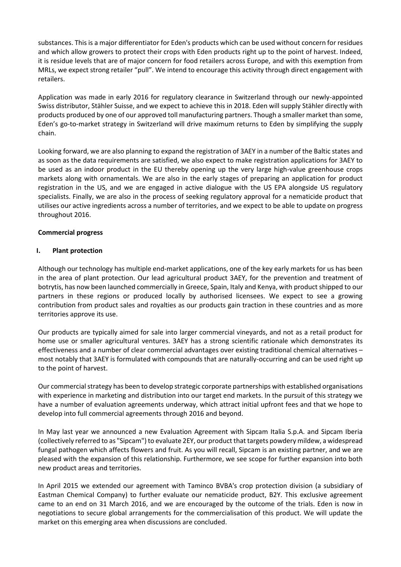substances. This is a major differentiator for Eden's products which can be used without concern for residues and which allow growers to protect their crops with Eden products right up to the point of harvest. Indeed, it is residue levels that are of major concern for food retailers across Europe, and with this exemption from MRLs, we expect strong retailer "pull". We intend to encourage this activity through direct engagement with retailers.

Application was made in early 2016 for regulatory clearance in Switzerland through our newly-appointed Swiss distributor, Stähler Suisse, and we expect to achieve this in 2018. Eden will supply Stähler directly with products produced by one of our approved toll manufacturing partners. Though a smaller market than some, Eden's go-to-market strategy in Switzerland will drive maximum returns to Eden by simplifying the supply chain.

Looking forward, we are also planning to expand the registration of 3AEY in a number of the Baltic states and as soon as the data requirements are satisfied, we also expect to make registration applications for 3AEY to be used as an indoor product in the EU thereby opening up the very large high-value greenhouse crops markets along with ornamentals. We are also in the early stages of preparing an application for product registration in the US, and we are engaged in active dialogue with the US EPA alongside US regulatory specialists. Finally, we are also in the process of seeking regulatory approval for a nematicide product that utilises our active ingredients across a number of territories, and we expect to be able to update on progress throughout 2016.

# **Commercial progress**

# **I. Plant protection**

Although our technology has multiple end-market applications, one of the key early markets for us has been in the area of plant protection. Our lead agricultural product 3AEY, for the prevention and treatment of botrytis, has now been launched commercially in Greece, Spain, Italy and Kenya, with product shipped to our partners in these regions or produced locally by authorised licensees. We expect to see a growing contribution from product sales and royalties as our products gain traction in these countries and as more territories approve its use.

Our products are typically aimed for sale into larger commercial vineyards, and not as a retail product for home use or smaller agricultural ventures. 3AEY has a strong scientific rationale which demonstrates its effectiveness and a number of clear commercial advantages over existing traditional chemical alternatives – most notably that 3AEY is formulated with compounds that are naturally-occurring and can be used right up to the point of harvest.

Our commercial strategy has been to develop strategic corporate partnerships with established organisations with experience in marketing and distribution into our target end markets. In the pursuit of this strategy we have a number of evaluation agreements underway, which attract initial upfront fees and that we hope to develop into full commercial agreements through 2016 and beyond.

In May last year we announced a new Evaluation Agreement with Sipcam Italia S.p.A. and Sipcam Iberia (collectively referred to as "Sipcam") to evaluate 2EY, our product that targets powdery mildew, a widespread fungal pathogen which affects flowers and fruit. As you will recall, Sipcam is an existing partner, and we are pleased with the expansion of this relationship. Furthermore, we see scope for further expansion into both new product areas and territories.

In April 2015 we extended our agreement with Taminco BVBA's crop protection division (a subsidiary of Eastman Chemical Company) to further evaluate our nematicide product, B2Y. This exclusive agreement came to an end on 31 March 2016, and we are encouraged by the outcome of the trials. Eden is now in negotiations to secure global arrangements for the commercialisation of this product. We will update the market on this emerging area when discussions are concluded.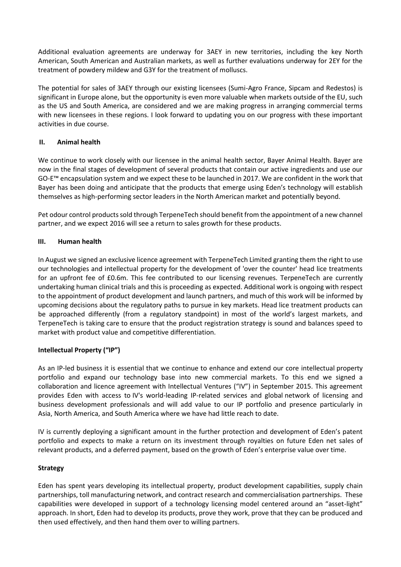Additional evaluation agreements are underway for 3AEY in new territories, including the key North American, South American and Australian markets, as well as further evaluations underway for 2EY for the treatment of powdery mildew and G3Y for the treatment of molluscs.

The potential for sales of 3AEY through our existing licensees (Sumi-Agro France, Sipcam and Redestos) is significant in Europe alone, but the opportunity is even more valuable when markets outside of the EU, such as the US and South America, are considered and we are making progress in arranging commercial terms with new licensees in these regions. I look forward to updating you on our progress with these important activities in due course.

# **II. Animal health**

We continue to work closely with our licensee in the animal health sector, Bayer Animal Health. Bayer are now in the final stages of development of several products that contain our active ingredients and use our GO-E™ encapsulation system and we expect these to be launched in 2017. We are confident in the work that Bayer has been doing and anticipate that the products that emerge using Eden's technology will establish themselves as high-performing sector leaders in the North American market and potentially beyond.

Pet odour control products sold through TerpeneTech should benefit from the appointment of a new channel partner, and we expect 2016 will see a return to sales growth for these products.

# **III. Human health**

In August we signed an exclusive licence agreement with TerpeneTech Limited granting them the right to use our technologies and intellectual property for the development of 'over the counter' head lice treatments for an upfront fee of £0.6m. This fee contributed to our licensing revenues. TerpeneTech are currently undertaking human clinical trials and this is proceeding as expected. Additional work is ongoing with respect to the appointment of product development and launch partners, and much of this work will be informed by upcoming decisions about the regulatory paths to pursue in key markets. Head lice treatment products can be approached differently (from a regulatory standpoint) in most of the world's largest markets, and TerpeneTech is taking care to ensure that the product registration strategy is sound and balances speed to market with product value and competitive differentiation.

# **Intellectual Property ("IP")**

As an IP-led business it is essential that we continue to enhance and extend our core intellectual property portfolio and expand our technology base into new commercial markets. To this end we signed a collaboration and licence agreement with Intellectual Ventures ("IV") in September 2015. This agreement provides Eden with access to IV's world-leading IP-related services and global network of licensing and business development professionals and will add value to our IP portfolio and presence particularly in Asia, North America, and South America where we have had little reach to date.

IV is currently deploying a significant amount in the further protection and development of Eden's patent portfolio and expects to make a return on its investment through royalties on future Eden net sales of relevant products, and a deferred payment, based on the growth of Eden's enterprise value over time.

# **Strategy**

Eden has spent years developing its intellectual property, product development capabilities, supply chain partnerships, toll manufacturing network, and contract research and commercialisation partnerships. These capabilities were developed in support of a technology licensing model centered around an "asset-light" approach. In short, Eden had to develop its products, prove they work, prove that they can be produced and then used effectively, and then hand them over to willing partners.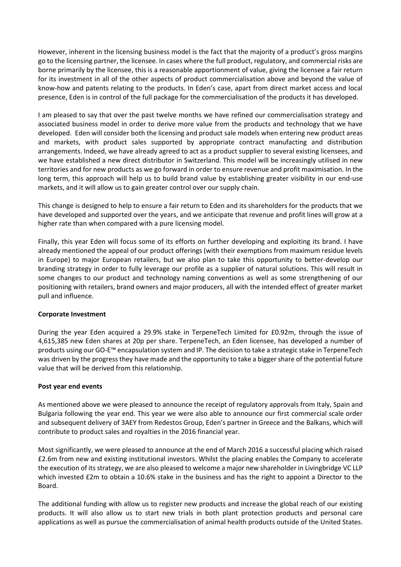However, inherent in the licensing business model is the fact that the majority of a product's gross margins go to the licensing partner, the licensee. In cases where the full product, regulatory, and commercial risks are borne primarily by the licensee, this is a reasonable apportionment of value, giving the licensee a fair return for its investment in all of the other aspects of product commercialisation above and beyond the value of know-how and patents relating to the products. In Eden's case, apart from direct market access and local presence, Eden is in control of the full package for the commercialisation of the products it has developed.

I am pleased to say that over the past twelve months we have refined our commercialisation strategy and associated business model in order to derive more value from the products and technology that we have developed. Eden will consider both the licensing and product sale models when entering new product areas and markets, with product sales supported by appropriate contract manufacting and distribution arrangements. Indeed, we have already agreed to act as a product supplier to several existing licensees, and we have established a new direct distributor in Switzerland. This model will be increasingly utilised in new territories and for new products as we go forward in order to ensure revenue and profit maximisation. In the long term, this approach will help us to build brand value by establishing greater visibility in our end-use markets, and it will allow us to gain greater control over our supply chain.

This change is designed to help to ensure a fair return to Eden and its shareholders for the products that we have developed and supported over the years, and we anticipate that revenue and profit lines will grow at a higher rate than when compared with a pure licensing model.

Finally, this year Eden will focus some of its efforts on further developing and exploiting its brand. I have already mentioned the appeal of our product offerings (with their exemptions from maximum residue levels in Europe) to major European retailers, but we also plan to take this opportunity to better-develop our branding strategy in order to fully leverage our profile as a supplier of natural solutions. This will result in some changes to our product and technology naming conventions as well as some strengthening of our positioning with retailers, brand owners and major producers, all with the intended effect of greater market pull and influence.

### **Corporate Investment**

During the year Eden acquired a 29.9% stake in TerpeneTech Limited for £0.92m, through the issue of 4,615,385 new Eden shares at 20p per share. TerpeneTech, an Eden licensee, has developed a number of products using our GO-E™ encapsulation system and IP. The decision to take a strategic stake in TerpeneTech was driven by the progress they have made and the opportunity to take a bigger share of the potential future value that will be derived from this relationship.

### **Post year end events**

As mentioned above we were pleased to announce the receipt of regulatory approvals from Italy, Spain and Bulgaria following the year end. This year we were also able to announce our first commercial scale order and subsequent delivery of 3AEY from Redestos Group, Eden's partner in Greece and the Balkans, which will contribute to product sales and royalties in the 2016 financial year.

Most significantly, we were pleased to announce at the end of March 2016 a successful placing which raised £2.6m from new and existing institutional investors. Whilst the placing enables the Company to accelerate the execution of its strategy, we are also pleased to welcome a major new shareholder in Livingbridge VC LLP which invested £2m to obtain a 10.6% stake in the business and has the right to appoint a Director to the Board.

The additional funding with allow us to register new products and increase the global reach of our existing products. It will also allow us to start new trials in both plant protection products and personal care applications as well as pursue the commercialisation of animal health products outside of the United States.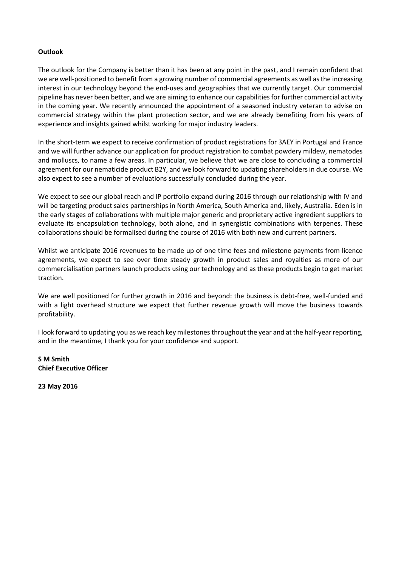## **Outlook**

The outlook for the Company is better than it has been at any point in the past, and I remain confident that we are well-positioned to benefit from a growing number of commercial agreements as well as the increasing interest in our technology beyond the end-uses and geographies that we currently target. Our commercial pipeline has never been better, and we are aiming to enhance our capabilities for further commercial activity in the coming year. We recently announced the appointment of a seasoned industry veteran to advise on commercial strategy within the plant protection sector, and we are already benefiting from his years of experience and insights gained whilst working for major industry leaders.

In the short-term we expect to receive confirmation of product registrations for 3AEY in Portugal and France and we will further advance our application for product registration to combat powdery mildew, nematodes and molluscs, to name a few areas. In particular, we believe that we are close to concluding a commercial agreement for our nematicide product B2Y, and we look forward to updating shareholders in due course. We also expect to see a number of evaluations successfully concluded during the year.

We expect to see our global reach and IP portfolio expand during 2016 through our relationship with IV and will be targeting product sales partnerships in North America, South America and, likely, Australia. Eden is in the early stages of collaborations with multiple major generic and proprietary active ingredient suppliers to evaluate its encapsulation technology, both alone, and in synergistic combinations with terpenes. These collaborations should be formalised during the course of 2016 with both new and current partners.

Whilst we anticipate 2016 revenues to be made up of one time fees and milestone payments from licence agreements, we expect to see over time steady growth in product sales and royalties as more of our commercialisation partners launch products using our technology and as these products begin to get market traction.

We are well positioned for further growth in 2016 and beyond: the business is debt-free, well-funded and with a light overhead structure we expect that further revenue growth will move the business towards profitability.

I look forward to updating you as we reach key milestones throughout the year and at the half-year reporting, and in the meantime, I thank you for your confidence and support.

**S M Smith Chief Executive Officer**

**23 May 2016**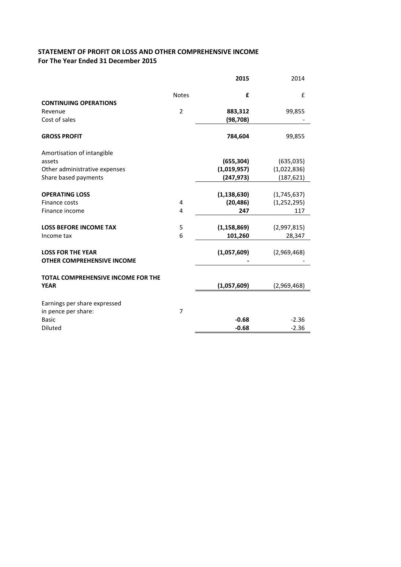# **STATEMENT OF PROFIT OR LOSS AND OTHER COMPREHENSIVE INCOME For The Year Ended 31 December 2015**

|                                                          |                | 2015          | 2014          |
|----------------------------------------------------------|----------------|---------------|---------------|
|                                                          | <b>Notes</b>   | £             | £             |
| <b>CONTINUING OPERATIONS</b>                             |                |               |               |
| Revenue                                                  | $\overline{2}$ | 883,312       | 99,855        |
| Cost of sales                                            |                | (98, 708)     |               |
|                                                          |                |               |               |
| <b>GROSS PROFIT</b>                                      |                | 784,604       | 99,855        |
| Amortisation of intangible                               |                |               |               |
| assets                                                   |                | (655, 304)    | (635,035)     |
| Other administrative expenses                            |                | (1,019,957)   | (1,022,836)   |
| Share based payments                                     |                | (247, 973)    | (187, 621)    |
|                                                          |                |               |               |
| <b>OPERATING LOSS</b>                                    |                | (1, 138, 630) | (1,745,637)   |
| Finance costs                                            | 4              | (20, 486)     | (1, 252, 295) |
| Finance income                                           | 4              | 247           | 117           |
| <b>LOSS BEFORE INCOME TAX</b>                            | 5              | (1, 158, 869) | (2,997,815)   |
| Income tax                                               | 6              | 101,260       | 28,347        |
|                                                          |                |               |               |
| <b>LOSS FOR THE YEAR</b>                                 |                | (1,057,609)   | (2,969,468)   |
| <b>OTHER COMPREHENSIVE INCOME</b>                        |                |               |               |
|                                                          |                |               |               |
| <b>TOTAL COMPREHENSIVE INCOME FOR THE</b><br><b>YEAR</b> |                | (1,057,609)   | (2,969,468)   |
|                                                          |                |               |               |
| Earnings per share expressed                             |                |               |               |
| in pence per share:                                      | 7              |               |               |
| <b>Basic</b>                                             |                | $-0.68$       | $-2.36$       |
| <b>Diluted</b>                                           |                | $-0.68$       | $-2.36$       |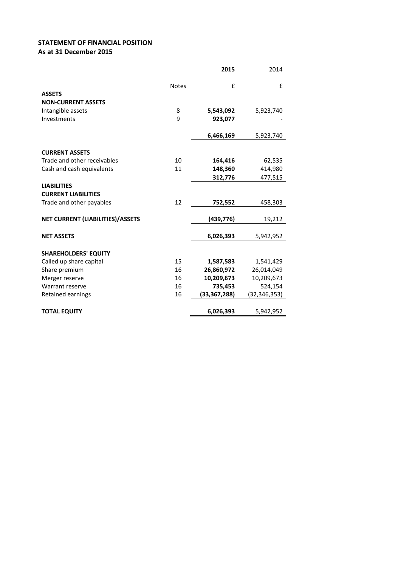# **STATEMENT OF FINANCIAL POSITION As at 31 December 2015**

|                                         |              | 2015         | 2014           |
|-----------------------------------------|--------------|--------------|----------------|
|                                         | <b>Notes</b> | £            | £              |
| <b>ASSETS</b>                           |              |              |                |
| <b>NON-CURRENT ASSETS</b>               |              |              |                |
| Intangible assets                       | 8            | 5,543,092    | 5,923,740      |
| Investments                             | 9            | 923,077      |                |
|                                         |              |              |                |
|                                         |              | 6,466,169    | 5,923,740      |
| <b>CURRENT ASSETS</b>                   |              |              |                |
| Trade and other receivables             | 10           | 164,416      | 62,535         |
| Cash and cash equivalents               | 11           | 148,360      | 414,980        |
|                                         |              | 312,776      | 477,515        |
| <b>LIABILITIES</b>                      |              |              |                |
| <b>CURRENT LIABILITIES</b>              |              |              |                |
| Trade and other payables                | 12           | 752,552      | 458,303        |
|                                         |              |              |                |
| <b>NET CURRENT (LIABILITIES)/ASSETS</b> |              | (439, 776)   | 19,212         |
|                                         |              |              |                |
| <b>NET ASSETS</b>                       |              | 6,026,393    | 5,942,952      |
| <b>SHAREHOLDERS' EQUITY</b>             |              |              |                |
| Called up share capital                 | 15           | 1,587,583    | 1,541,429      |
| Share premium                           | 16           | 26,860,972   | 26,014,049     |
| Merger reserve                          | 16           | 10,209,673   | 10,209,673     |
| Warrant reserve                         | 16           | 735,453      | 524,154        |
| Retained earnings                       | 16           | (33,367,288) | (32, 346, 353) |
|                                         |              |              |                |
| <b>TOTAL EQUITY</b>                     |              | 6,026,393    | 5,942,952      |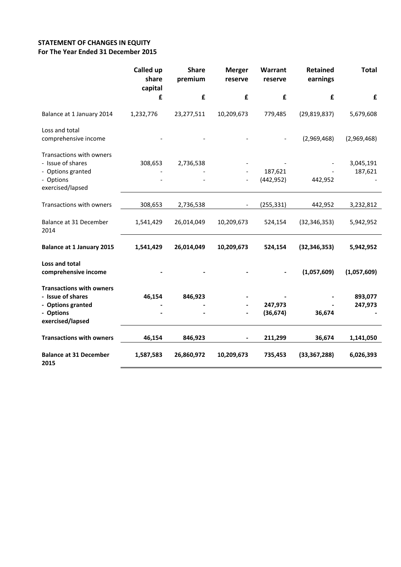# **STATEMENT OF CHANGES IN EQUITY For The Year Ended 31 December 2015**

|                                                                                                            | Called up<br>share<br>capital | <b>Share</b><br>premium | <b>Merger</b><br>reserve | Warrant<br>reserve    | <b>Retained</b><br>earnings | <b>Total</b>         |
|------------------------------------------------------------------------------------------------------------|-------------------------------|-------------------------|--------------------------|-----------------------|-----------------------------|----------------------|
|                                                                                                            | £                             | £                       | £                        | £                     | £                           | £                    |
| Balance at 1 January 2014                                                                                  | 1,232,776                     | 23,277,511              | 10,209,673               | 779,485               | (29, 819, 837)              | 5,679,608            |
| Loss and total<br>comprehensive income                                                                     |                               |                         |                          |                       | (2,969,468)                 | (2,969,468)          |
| Transactions with owners<br>- Issue of shares<br>- Options granted<br>- Options<br>exercised/lapsed        | 308,653                       | 2,736,538               |                          | 187,621<br>(442, 952) | 442,952                     | 3,045,191<br>187,621 |
| Transactions with owners                                                                                   | 308,653                       | 2,736,538               | $\overline{\phantom{a}}$ | (255, 331)            | 442,952                     | 3,232,812            |
| Balance at 31 December<br>2014                                                                             | 1,541,429                     | 26,014,049              | 10,209,673               | 524,154               | (32, 346, 353)              | 5,942,952            |
| <b>Balance at 1 January 2015</b>                                                                           | 1,541,429                     | 26,014,049              | 10,209,673               | 524,154               | (32, 346, 353)              | 5,942,952            |
| Loss and total<br>comprehensive income                                                                     |                               |                         |                          |                       | (1,057,609)                 | (1,057,609)          |
| <b>Transactions with owners</b><br>- Issue of shares<br>- Options granted<br>- Options<br>exercised/lapsed | 46,154                        | 846,923                 |                          | 247,973<br>(36, 674)  | 36,674                      | 893,077<br>247,973   |
| <b>Transactions with owners</b>                                                                            | 46,154                        | 846,923                 |                          | 211,299               | 36,674                      | 1,141,050            |
| <b>Balance at 31 December</b><br>2015                                                                      | 1,587,583                     | 26,860,972              | 10,209,673               | 735,453               | (33, 367, 288)              | 6,026,393            |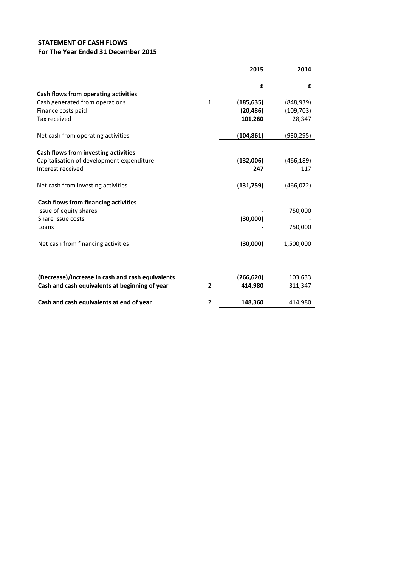# **STATEMENT OF CASH FLOWS For The Year Ended 31 December 2015**

|                                                  |              | 2015       | 2014       |
|--------------------------------------------------|--------------|------------|------------|
|                                                  |              | £          | £          |
| Cash flows from operating activities             |              |            |            |
| Cash generated from operations                   | $\mathbf{1}$ | (185, 635) | (848, 939) |
| Finance costs paid                               |              | (20, 486)  | (109, 703) |
| Tax received                                     |              | 101,260    | 28,347     |
| Net cash from operating activities               |              | (104, 861) | (930, 295) |
| Cash flows from investing activities             |              |            |            |
| Capitalisation of development expenditure        |              | (132,006)  | (466, 189) |
| Interest received                                |              | 247        | 117        |
| Net cash from investing activities               |              | (131,759)  | (466, 072) |
| Cash flows from financing activities             |              |            |            |
| Issue of equity shares                           |              |            | 750,000    |
| Share issue costs                                |              | (30,000)   |            |
| Loans                                            |              |            | 750,000    |
| Net cash from financing activities               |              | (30,000)   | 1,500,000  |
|                                                  |              |            |            |
| (Decrease)/increase in cash and cash equivalents |              | (266, 620) | 103,633    |
| Cash and cash equivalents at beginning of year   | 2            | 414,980    | 311,347    |
| Cash and cash equivalents at end of year         | 2            | 148,360    | 414,980    |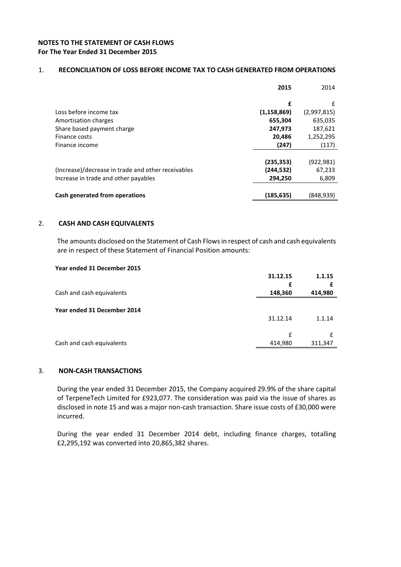# **NOTES TO THE STATEMENT OF CASH FLOWS For The Year Ended 31 December 2015**

#### 1. **RECONCILIATION OF LOSS BEFORE INCOME TAX TO CASH GENERATED FROM OPERATIONS**

|                                                    | 2015          | 2014        |
|----------------------------------------------------|---------------|-------------|
|                                                    | £             | £           |
| Loss before income tax                             | (1, 158, 869) | (2,997,815) |
| Amortisation charges                               | 655,304       | 635,035     |
| Share based payment charge                         | 247,973       | 187,621     |
| Finance costs                                      | 20.486        | 1,252,295   |
| Finance income                                     | (247)         | (117)       |
|                                                    | (235, 353)    | (922, 981)  |
| (Increase)/decrease in trade and other receivables | (244,532)     | 67,233      |
| Increase in trade and other payables               | 294,250       | 6,809       |
|                                                    |               |             |
| Cash generated from operations                     | (185, 635)    | (848,939)   |

#### 2. **CASH AND CASH EQUIVALENTS**

The amounts disclosed on the Statement of Cash Flowsin respect of cash and cash equivalents are in respect of these Statement of Financial Position amounts:

| Year ended 31 December 2015 |
|-----------------------------|
|-----------------------------|

| 31.12.15 | 1.1.15  |
|----------|---------|
| £        |         |
| 148,360  | 414,980 |
|          |         |
|          |         |
| 31.12.14 | 1.1.14  |
|          |         |
| £        |         |
| 414,980  | 311,347 |
|          |         |

#### 3. **NON-CASH TRANSACTIONS**

During the year ended 31 December 2015, the Company acquired 29.9% of the share capital of TerpeneTech Limited for £923,077. The consideration was paid via the issue of shares as disclosed in note 15 and was a major non-cash transaction. Share issue costs of £30,000 were incurred.

During the year ended 31 December 2014 debt, including finance charges, totalling £2,295,192 was converted into 20,865,382 shares.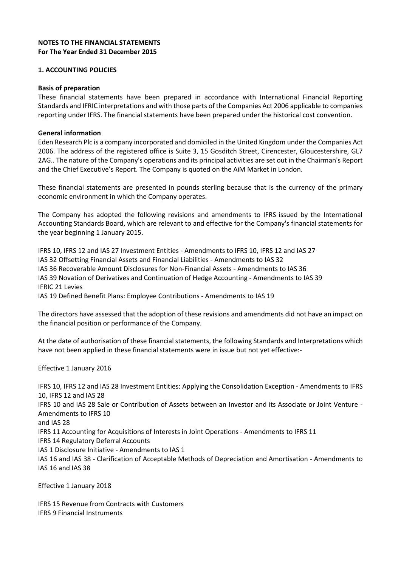## **NOTES TO THE FINANCIAL STATEMENTS For The Year Ended 31 December 2015**

# **1. ACCOUNTING POLICIES**

### **Basis of preparation**

These financial statements have been prepared in accordance with International Financial Reporting Standards and IFRIC interpretations and with those parts of the Companies Act 2006 applicable to companies reporting under IFRS. The financial statements have been prepared under the historical cost convention.

### **General information**

Eden Research Plc is a company incorporated and domiciled in the United Kingdom under the Companies Act 2006. The address of the registered office is Suite 3, 15 Gosditch Street, Cirencester, Gloucestershire, GL7 2AG.. The nature of the Company's operations and its principal activities are set out in the Chairman's Report and the Chief Executive's Report. The Company is quoted on the AiM Market in London.

These financial statements are presented in pounds sterling because that is the currency of the primary economic environment in which the Company operates.

The Company has adopted the following revisions and amendments to IFRS issued by the International Accounting Standards Board, which are relevant to and effective for the Company's financial statements for the year beginning 1 January 2015.

IFRS 10, IFRS 12 and IAS 27 Investment Entities - Amendments to IFRS 10, IFRS 12 and IAS 27 IAS 32 Offsetting Financial Assets and Financial Liabilities - Amendments to IAS 32 IAS 36 Recoverable Amount Disclosures for Non-Financial Assets - Amendments to IAS 36 IAS 39 Novation of Derivatives and Continuation of Hedge Accounting - Amendments to IAS 39 IFRIC 21 Levies IAS 19 Defined Benefit Plans: Employee Contributions - Amendments to IAS 19

The directors have assessed that the adoption of these revisions and amendments did not have an impact on the financial position or performance of the Company.

At the date of authorisation of these financial statements, the following Standards and Interpretations which have not been applied in these financial statements were in issue but not yet effective:-

Effective 1 January 2016

IFRS 10, IFRS 12 and IAS 28 Investment Entities: Applying the Consolidation Exception - Amendments to IFRS 10, IFRS 12 and IAS 28 IFRS 10 and IAS 28 Sale or Contribution of Assets between an Investor and its Associate or Joint Venture - Amendments to IFRS 10 and IAS 28 IFRS 11 Accounting for Acquisitions of Interests in Joint Operations - Amendments to IFRS 11 IFRS 14 Regulatory Deferral Accounts IAS 1 Disclosure Initiative - Amendments to IAS 1 IAS 16 and IAS 38 - Clarification of Acceptable Methods of Depreciation and Amortisation - Amendments to IAS 16 and IAS 38

Effective 1 January 2018

IFRS 15 Revenue from Contracts with Customers IFRS 9 Financial Instruments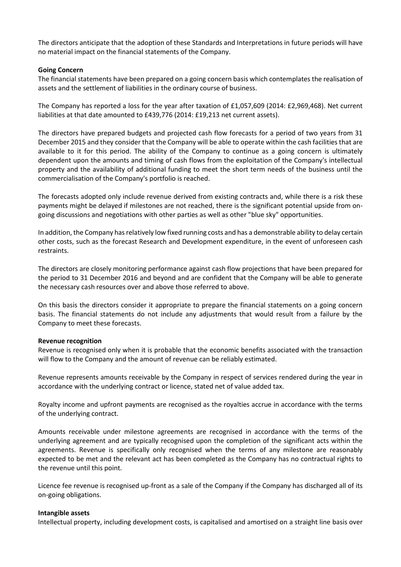The directors anticipate that the adoption of these Standards and Interpretations in future periods will have no material impact on the financial statements of the Company.

## **Going Concern**

The financial statements have been prepared on a going concern basis which contemplates the realisation of assets and the settlement of liabilities in the ordinary course of business.

The Company has reported a loss for the year after taxation of £1,057,609 (2014: £2,969,468). Net current liabilities at that date amounted to £439,776 (2014: £19,213 net current assets).

The directors have prepared budgets and projected cash flow forecasts for a period of two years from 31 December 2015 and they consider that the Company will be able to operate within the cash facilities that are available to it for this period. The ability of the Company to continue as a going concern is ultimately dependent upon the amounts and timing of cash flows from the exploitation of the Company's intellectual property and the availability of additional funding to meet the short term needs of the business until the commercialisation of the Company's portfolio is reached.

The forecasts adopted only include revenue derived from existing contracts and, while there is a risk these payments might be delayed if milestones are not reached, there is the significant potential upside from ongoing discussions and negotiations with other parties as well as other "blue sky" opportunities.

In addition, the Company has relatively low fixed running costs and has a demonstrable ability to delay certain other costs, such as the forecast Research and Development expenditure, in the event of unforeseen cash restraints.

The directors are closely monitoring performance against cash flow projections that have been prepared for the period to 31 December 2016 and beyond and are confident that the Company will be able to generate the necessary cash resources over and above those referred to above.

On this basis the directors consider it appropriate to prepare the financial statements on a going concern basis. The financial statements do not include any adjustments that would result from a failure by the Company to meet these forecasts.

### **Revenue recognition**

Revenue is recognised only when it is probable that the economic benefits associated with the transaction will flow to the Company and the amount of revenue can be reliably estimated.

Revenue represents amounts receivable by the Company in respect of services rendered during the year in accordance with the underlying contract or licence, stated net of value added tax.

Royalty income and upfront payments are recognised as the royalties accrue in accordance with the terms of the underlying contract.

Amounts receivable under milestone agreements are recognised in accordance with the terms of the underlying agreement and are typically recognised upon the completion of the significant acts within the agreements. Revenue is specifically only recognised when the terms of any milestone are reasonably expected to be met and the relevant act has been completed as the Company has no contractual rights to the revenue until this point.

Licence fee revenue is recognised up-front as a sale of the Company if the Company has discharged all of its on-going obligations.

### **Intangible assets**

Intellectual property, including development costs, is capitalised and amortised on a straight line basis over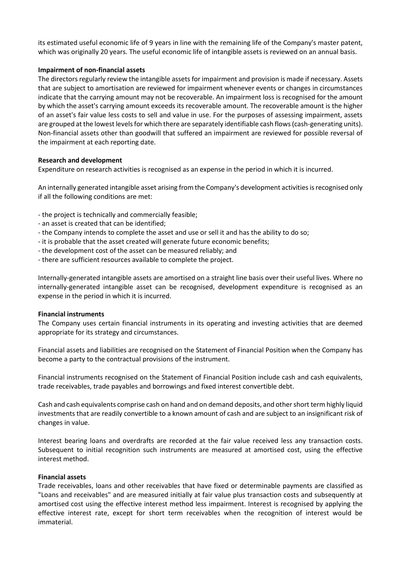its estimated useful economic life of 9 years in line with the remaining life of the Company's master patent, which was originally 20 years. The useful economic life of intangible assets is reviewed on an annual basis.

### **Impairment of non-financial assets**

The directors regularly review the intangible assets for impairment and provision is made if necessary. Assets that are subject to amortisation are reviewed for impairment whenever events or changes in circumstances indicate that the carrying amount may not be recoverable. An impairment loss is recognised for the amount by which the asset's carrying amount exceeds its recoverable amount. The recoverable amount is the higher of an asset's fair value less costs to sell and value in use. For the purposes of assessing impairment, assets are grouped at the lowest levels for which there are separately identifiable cash flows (cash-generating units). Non-financial assets other than goodwill that suffered an impairment are reviewed for possible reversal of the impairment at each reporting date.

#### **Research and development**

Expenditure on research activities is recognised as an expense in the period in which it is incurred.

An internally generated intangible asset arising from the Company's development activities is recognised only if all the following conditions are met:

- the project is technically and commercially feasible;
- an asset is created that can be identified;
- the Company intends to complete the asset and use or sell it and has the ability to do so;
- it is probable that the asset created will generate future economic benefits;
- the development cost of the asset can be measured reliably; and
- there are sufficient resources available to complete the project.

Internally-generated intangible assets are amortised on a straight line basis over their useful lives. Where no internally-generated intangible asset can be recognised, development expenditure is recognised as an expense in the period in which it is incurred.

#### **Financial instruments**

The Company uses certain financial instruments in its operating and investing activities that are deemed appropriate for its strategy and circumstances.

Financial assets and liabilities are recognised on the Statement of Financial Position when the Company has become a party to the contractual provisions of the instrument.

Financial instruments recognised on the Statement of Financial Position include cash and cash equivalents, trade receivables, trade payables and borrowings and fixed interest convertible debt.

Cash and cash equivalents comprise cash on hand and on demand deposits, and other short term highly liquid investments that are readily convertible to a known amount of cash and are subject to an insignificant risk of changes in value.

Interest bearing loans and overdrafts are recorded at the fair value received less any transaction costs. Subsequent to initial recognition such instruments are measured at amortised cost, using the effective interest method.

#### **Financial assets**

Trade receivables, loans and other receivables that have fixed or determinable payments are classified as "Loans and receivables" and are measured initially at fair value plus transaction costs and subsequently at amortised cost using the effective interest method less impairment. Interest is recognised by applying the effective interest rate, except for short term receivables when the recognition of interest would be immaterial.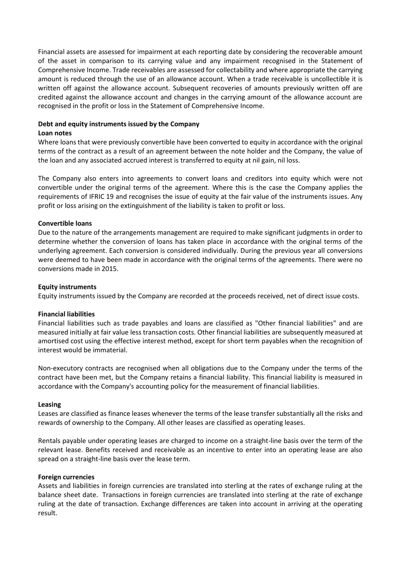Financial assets are assessed for impairment at each reporting date by considering the recoverable amount of the asset in comparison to its carrying value and any impairment recognised in the Statement of Comprehensive Income. Trade receivables are assessed for collectability and where appropriate the carrying amount is reduced through the use of an allowance account. When a trade receivable is uncollectible it is written off against the allowance account. Subsequent recoveries of amounts previously written off are credited against the allowance account and changes in the carrying amount of the allowance account are recognised in the profit or loss in the Statement of Comprehensive Income.

# **Debt and equity instruments issued by the Company**

#### **Loan notes**

Where loans that were previously convertible have been converted to equity in accordance with the original terms of the contract as a result of an agreement between the note holder and the Company, the value of the loan and any associated accrued interest is transferred to equity at nil gain, nil loss.

The Company also enters into agreements to convert loans and creditors into equity which were not convertible under the original terms of the agreement. Where this is the case the Company applies the requirements of IFRIC 19 and recognises the issue of equity at the fair value of the instruments issues. Any profit or loss arising on the extinguishment of the liability is taken to profit or loss.

### **Convertible loans**

Due to the nature of the arrangements management are required to make significant judgments in order to determine whether the conversion of loans has taken place in accordance with the original terms of the underlying agreement. Each conversion is considered individually. During the previous year all conversions were deemed to have been made in accordance with the original terms of the agreements. There were no conversions made in 2015.

### **Equity instruments**

Equity instruments issued by the Company are recorded at the proceeds received, net of direct issue costs.

### **Financial liabilities**

Financial liabilities such as trade payables and loans are classified as "Other financial liabilities" and are measured initially at fair value less transaction costs. Other financial liabilities are subsequently measured at amortised cost using the effective interest method, except for short term payables when the recognition of interest would be immaterial.

Non-executory contracts are recognised when all obligations due to the Company under the terms of the contract have been met, but the Company retains a financial liability. This financial liability is measured in accordance with the Company's accounting policy for the measurement of financial liabilities.

#### **Leasing**

Leases are classified as finance leases whenever the terms of the lease transfer substantially all the risks and rewards of ownership to the Company. All other leases are classified as operating leases.

Rentals payable under operating leases are charged to income on a straight-line basis over the term of the relevant lease. Benefits received and receivable as an incentive to enter into an operating lease are also spread on a straight-line basis over the lease term.

### **Foreign currencies**

Assets and liabilities in foreign currencies are translated into sterling at the rates of exchange ruling at the balance sheet date. Transactions in foreign currencies are translated into sterling at the rate of exchange ruling at the date of transaction. Exchange differences are taken into account in arriving at the operating result.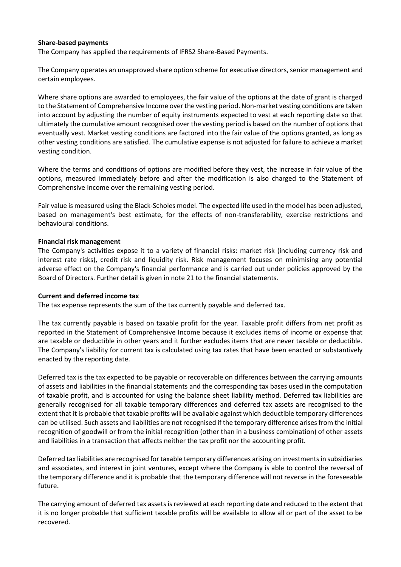#### **Share-based payments**

The Company has applied the requirements of IFRS2 Share-Based Payments.

The Company operates an unapproved share option scheme for executive directors, senior management and certain employees.

Where share options are awarded to employees, the fair value of the options at the date of grant is charged to the Statement of Comprehensive Income over the vesting period. Non-market vesting conditions are taken into account by adjusting the number of equity instruments expected to vest at each reporting date so that ultimately the cumulative amount recognised over the vesting period is based on the number of options that eventually vest. Market vesting conditions are factored into the fair value of the options granted, as long as other vesting conditions are satisfied. The cumulative expense is not adjusted for failure to achieve a market vesting condition.

Where the terms and conditions of options are modified before they vest, the increase in fair value of the options, measured immediately before and after the modification is also charged to the Statement of Comprehensive Income over the remaining vesting period.

Fair value is measured using the Black-Scholes model. The expected life used in the model has been adjusted, based on management's best estimate, for the effects of non-transferability, exercise restrictions and behavioural conditions.

#### **Financial risk management**

The Company's activities expose it to a variety of financial risks: market risk (including currency risk and interest rate risks), credit risk and liquidity risk. Risk management focuses on minimising any potential adverse effect on the Company's financial performance and is carried out under policies approved by the Board of Directors. Further detail is given in note 21 to the financial statements.

#### **Current and deferred income tax**

The tax expense represents the sum of the tax currently payable and deferred tax.

The tax currently payable is based on taxable profit for the year. Taxable profit differs from net profit as reported in the Statement of Comprehensive Income because it excludes items of income or expense that are taxable or deductible in other years and it further excludes items that are never taxable or deductible. The Company's liability for current tax is calculated using tax rates that have been enacted or substantively enacted by the reporting date.

Deferred tax is the tax expected to be payable or recoverable on differences between the carrying amounts of assets and liabilities in the financial statements and the corresponding tax bases used in the computation of taxable profit, and is accounted for using the balance sheet liability method. Deferred tax liabilities are generally recognised for all taxable temporary differences and deferred tax assets are recognised to the extent that it is probable that taxable profits will be available against which deductible temporary differences can be utilised. Such assets and liabilities are not recognised if the temporary difference arises from the initial recognition of goodwill or from the initial recognition (other than in a business combination) of other assets and liabilities in a transaction that affects neither the tax profit nor the accounting profit.

Deferred tax liabilities are recognised for taxable temporary differences arising on investments in subsidiaries and associates, and interest in joint ventures, except where the Company is able to control the reversal of the temporary difference and it is probable that the temporary difference will not reverse in the foreseeable future.

The carrying amount of deferred tax assets is reviewed at each reporting date and reduced to the extent that it is no longer probable that sufficient taxable profits will be available to allow all or part of the asset to be recovered.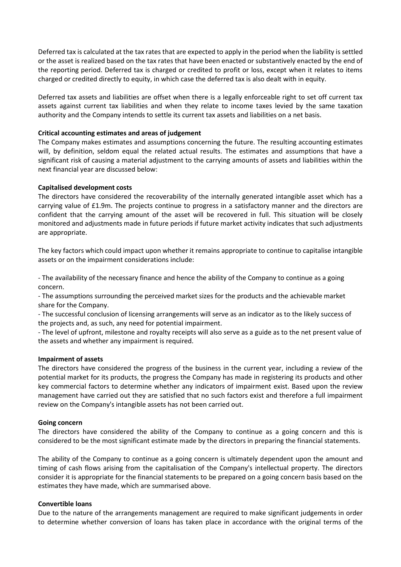Deferred tax is calculated at the tax rates that are expected to apply in the period when the liability is settled or the asset is realized based on the tax rates that have been enacted or substantively enacted by the end of the reporting period. Deferred tax is charged or credited to profit or loss, except when it relates to items charged or credited directly to equity, in which case the deferred tax is also dealt with in equity.

Deferred tax assets and liabilities are offset when there is a legally enforceable right to set off current tax assets against current tax liabilities and when they relate to income taxes levied by the same taxation authority and the Company intends to settle its current tax assets and liabilities on a net basis.

## **Critical accounting estimates and areas of judgement**

The Company makes estimates and assumptions concerning the future. The resulting accounting estimates will, by definition, seldom equal the related actual results. The estimates and assumptions that have a significant risk of causing a material adjustment to the carrying amounts of assets and liabilities within the next financial year are discussed below:

# **Capitalised development costs**

The directors have considered the recoverability of the internally generated intangible asset which has a carrying value of £1.9m. The projects continue to progress in a satisfactory manner and the directors are confident that the carrying amount of the asset will be recovered in full. This situation will be closely monitored and adjustments made in future periods if future market activity indicates that such adjustments are appropriate.

The key factors which could impact upon whether it remains appropriate to continue to capitalise intangible assets or on the impairment considerations include:

- The availability of the necessary finance and hence the ability of the Company to continue as a going concern.

- The assumptions surrounding the perceived market sizes for the products and the achievable market share for the Company.

- The successful conclusion of licensing arrangements will serve as an indicator as to the likely success of the projects and, as such, any need for potential impairment.

- The level of upfront, milestone and royalty receipts will also serve as a guide as to the net present value of the assets and whether any impairment is required.

### **Impairment of assets**

The directors have considered the progress of the business in the current year, including a review of the potential market for its products, the progress the Company has made in registering its products and other key commercial factors to determine whether any indicators of impairment exist. Based upon the review management have carried out they are satisfied that no such factors exist and therefore a full impairment review on the Company's intangible assets has not been carried out.

### **Going concern**

The directors have considered the ability of the Company to continue as a going concern and this is considered to be the most significant estimate made by the directors in preparing the financial statements.

The ability of the Company to continue as a going concern is ultimately dependent upon the amount and timing of cash flows arising from the capitalisation of the Company's intellectual property. The directors consider it is appropriate for the financial statements to be prepared on a going concern basis based on the estimates they have made, which are summarised above.

### **Convertible loans**

Due to the nature of the arrangements management are required to make significant judgements in order to determine whether conversion of loans has taken place in accordance with the original terms of the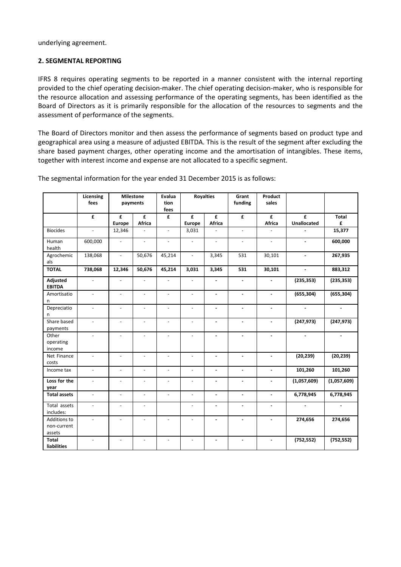underlying agreement.

## **2. SEGMENTAL REPORTING**

IFRS 8 requires operating segments to be reported in a manner consistent with the internal reporting provided to the chief operating decision-maker. The chief operating decision-maker, who is responsible for the resource allocation and assessing performance of the operating segments, has been identified as the Board of Directors as it is primarily responsible for the allocation of the resources to segments and the assessment of performance of the segments.

The Board of Directors monitor and then assess the performance of segments based on product type and geographical area using a measure of adjusted EBITDA. This is the result of the segment after excluding the share based payment charges, other operating income and the amortisation of intangibles. These items, together with interest income and expense are not allocated to a specific segment.

|                                       | Licensing<br>fees        |                          | <b>Milestone</b><br>payments | Evalua<br>tion<br>fees   |                          | <b>Royalties</b>         | Grant<br>funding | Product<br>sales         |                         |              |
|---------------------------------------|--------------------------|--------------------------|------------------------------|--------------------------|--------------------------|--------------------------|------------------|--------------------------|-------------------------|--------------|
|                                       | £                        | £<br><b>Europe</b>       | £<br><b>Africa</b>           | £                        | £<br><b>Europe</b>       | £<br>Africa              | £                | £<br><b>Africa</b>       | £<br><b>Unallocated</b> | Total<br>£   |
| <b>Biocides</b>                       | $\overline{\phantom{a}}$ | 12,346                   | $\overline{\phantom{a}}$     | $\blacksquare$           | 3,031                    | $\overline{a}$           | $\blacksquare$   | $\overline{a}$           |                         | 15,377       |
| Human<br>health                       | 600,000                  | $\overline{\phantom{a}}$ | $\blacksquare$               | $\blacksquare$           | $\overline{a}$           | $\overline{\phantom{a}}$ | $\blacksquare$   | $\overline{\phantom{a}}$ | $\blacksquare$          | 600,000      |
| Agrochemic<br>als                     | 138,068                  | $\frac{1}{2}$            | 50,676                       | 45,214                   | $\overline{a}$           | 3,345                    | 531              | 30,101                   | $\blacksquare$          | 267,935      |
| <b>TOTAL</b>                          | 738,068                  | 12,346                   | 50,676                       | 45,214                   | 3,031                    | 3,345                    | 531              | 30,101                   | $\blacksquare$          | 883,312      |
| Adjusted<br><b>EBITDA</b>             | $\overline{\phantom{a}}$ | $\frac{1}{2}$            | $\frac{1}{2}$                | $\blacksquare$           | $\overline{\phantom{a}}$ | ä,                       | $\sim$           | ä,                       | (235, 353)              | (235, 353)   |
| Amortisatio<br>n                      | $\overline{a}$           | $\overline{\phantom{a}}$ | $\overline{\phantom{a}}$     | $\frac{1}{2}$            | $\overline{\phantom{a}}$ | $\frac{1}{2}$            | $\blacksquare$   | $\blacksquare$           | (655, 304)              | (655, 304)   |
| Depreciatio<br>n                      | $\overline{a}$           | $\overline{\phantom{a}}$ | $\overline{\phantom{a}}$     | $\frac{1}{2}$            | $\overline{\phantom{a}}$ | ÷.                       | $\blacksquare$   | $\blacksquare$           | $\mathbf{r}$            | $\mathbf{r}$ |
| Share based<br>payments               | $\overline{\phantom{a}}$ | $\overline{\phantom{a}}$ | $\overline{\phantom{a}}$     | $\overline{\phantom{a}}$ | $\overline{\phantom{a}}$ | $\overline{\phantom{a}}$ | $\blacksquare$   | $\blacksquare$           | (247, 973)              | (247, 973)   |
| Other<br>operating<br>income          | $\overline{\phantom{a}}$ | $\overline{\phantom{a}}$ | $\overline{\phantom{a}}$     | $\overline{a}$           | $\overline{a}$           | $\overline{\phantom{a}}$ | $\blacksquare$   | $\blacksquare$           | $\blacksquare$          |              |
| Net Finance<br>costs                  | $\overline{\phantom{a}}$ | $\overline{\phantom{a}}$ | $\overline{\phantom{0}}$     | $\blacksquare$           | $\overline{\phantom{a}}$ | $\blacksquare$           | $\overline{a}$   | $\blacksquare$           | (20, 239)               | (20, 239)    |
| Income tax                            | $\overline{\phantom{a}}$ | $\overline{\phantom{a}}$ | $\overline{\phantom{a}}$     | $\overline{\phantom{0}}$ | $\overline{\phantom{a}}$ | $\blacksquare$           | $\blacksquare$   | $\blacksquare$           | 101,260                 | 101,260      |
| Loss for the<br>year                  | $\blacksquare$           | $\overline{\phantom{a}}$ | $\overline{\phantom{a}}$     | $\overline{\phantom{a}}$ | $\overline{\phantom{a}}$ | ÷.                       | $\blacksquare$   | $\blacksquare$           | (1,057,609)             | (1,057,609)  |
| <b>Total assets</b>                   | $\blacksquare$           | $\overline{\phantom{a}}$ | $\overline{\phantom{a}}$     | $\overline{\phantom{a}}$ | $\overline{\phantom{a}}$ | $\frac{1}{2}$            | $\blacksquare$   | $\blacksquare$           | 6,778,945               | 6,778,945    |
| Total assets<br>includes:             | $\overline{\phantom{a}}$ | $\overline{\phantom{a}}$ | $\overline{a}$               |                          | $\overline{a}$           | ÷.                       | $\overline{a}$   | $\blacksquare$           | $\sim$                  |              |
| Additions to<br>non-current<br>assets | $\blacksquare$           | $\overline{\phantom{a}}$ | $\overline{a}$               | $\overline{a}$           | $\overline{\phantom{a}}$ | $\overline{a}$           | $\overline{a}$   | $\sim$                   | 274,656                 | 274,656      |
| Total<br>liabilities                  | $\overline{a}$           | $\blacksquare$           | $\frac{1}{2}$                | $\blacksquare$           | $\blacksquare$           | $\frac{1}{2}$            | $\blacksquare$   | $\blacksquare$           | (752, 552)              | (752, 552)   |

The segmental information for the year ended 31 December 2015 is as follows: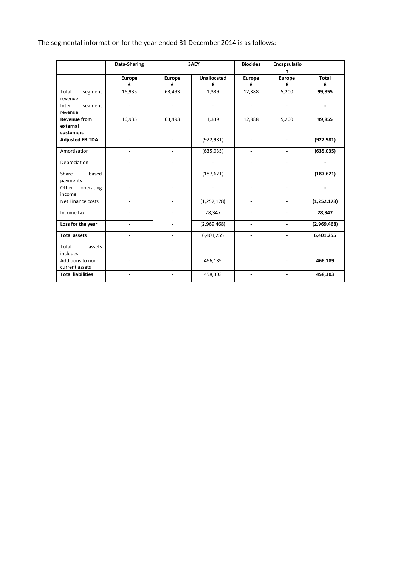The segmental information for the year ended 31 December 2014 is as follows:

|                                              | Data-Sharing             |                          | 3AEY                     | <b>Biocides</b>          | Encapsulatio<br>n        |                |
|----------------------------------------------|--------------------------|--------------------------|--------------------------|--------------------------|--------------------------|----------------|
|                                              | Europe<br>£              | <b>Europe</b><br>£       | <b>Unallocated</b><br>£  | <b>Europe</b><br>£       | Europe<br>£              | Total<br>£     |
| Total<br>segment<br>revenue                  | 16,935                   | 63,493                   | 1,339                    | 12,888                   | 5,200                    | 99,855         |
| segment<br>Inter<br>revenue                  | $\overline{\phantom{0}}$ | $\overline{\phantom{a}}$ |                          |                          |                          |                |
| <b>Revenue from</b><br>external<br>customers | 16,935                   | 63,493                   | 1,339                    | 12,888                   | 5,200                    | 99,855         |
| <b>Adjusted EBITDA</b>                       | $\overline{a}$           | $\overline{\phantom{a}}$ | (922, 981)               | $\blacksquare$           |                          | (922, 981)     |
| Amortisation                                 |                          |                          | (635, 035)               | $\overline{\phantom{a}}$ |                          | (635, 035)     |
| Depreciation                                 |                          |                          |                          |                          |                          |                |
| based<br>Share<br>payments                   | $\overline{a}$           |                          | (187, 621)               | $\overline{a}$           |                          | (187, 621)     |
| operating<br>Other<br>income                 | $\overline{a}$           | $\overline{\phantom{a}}$ | $\overline{\phantom{a}}$ | $\overline{\phantom{a}}$ | $\blacksquare$           | $\blacksquare$ |
| Net Finance costs                            | $\overline{a}$           |                          | (1, 252, 178)            | $\overline{\phantom{a}}$ |                          | (1, 252, 178)  |
| Income tax                                   | $\overline{a}$           | $\overline{\phantom{a}}$ | 28,347                   | $\overline{\phantom{a}}$ |                          | 28,347         |
| Loss for the year                            | $\blacksquare$           | $\overline{\phantom{a}}$ | (2,969,468)              | $\overline{\phantom{a}}$ | $\blacksquare$           | (2,969,468)    |
| <b>Total assets</b>                          | $\overline{a}$           | $\overline{\phantom{a}}$ | 6,401,255                | $\overline{\phantom{a}}$ | $\overline{\phantom{a}}$ | 6,401,255      |
| Total<br>assets<br>includes:                 |                          |                          |                          |                          |                          |                |
| Additions to non-<br>current assets          |                          |                          | 466,189                  |                          |                          | 466,189        |
| <b>Total liabilities</b>                     | $\overline{\phantom{a}}$ | $\overline{\phantom{a}}$ | 458,303                  | $\overline{\phantom{a}}$ | $\overline{\phantom{a}}$ | 458,303        |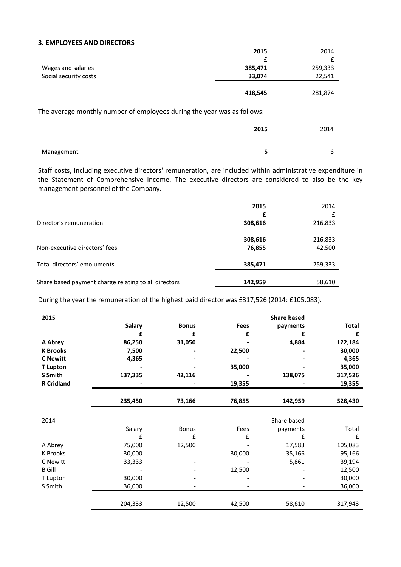# **3. EMPLOYEES AND DIRECTORS**

|                                                                         | 2015    | 2014    |
|-------------------------------------------------------------------------|---------|---------|
|                                                                         | £       |         |
| Wages and salaries                                                      | 385,471 | 259,333 |
| Social security costs                                                   | 33,074  | 22,541  |
|                                                                         |         |         |
|                                                                         | 418,545 | 281,874 |
|                                                                         |         |         |
| The average monthly number of employees during the year was as follows: |         |         |

|            | 2015 | 2014 |
|------------|------|------|
|            |      |      |
| Management | -    | n    |

Staff costs, including executive directors' remuneration, are included within administrative expenditure in the Statement of Comprehensive Income. The executive directors are considered to also be the key management personnel of the Company.

|                                                      | 2015    | 2014    |
|------------------------------------------------------|---------|---------|
|                                                      | £       |         |
| Director's remuneration                              | 308,616 | 216,833 |
|                                                      |         |         |
|                                                      | 308,616 | 216,833 |
| Non-executive directors' fees                        | 76,855  | 42,500  |
|                                                      |         |         |
| Total directors' emoluments                          | 385,471 | 259,333 |
|                                                      |         |         |
| Share based payment charge relating to all directors | 142,959 | 58,610  |

During the year the remuneration of the highest paid director was £317,526 (2014: £105,083).

| 2015              |               |              |             | <b>Share based</b> |              |
|-------------------|---------------|--------------|-------------|--------------------|--------------|
|                   | <b>Salary</b> | <b>Bonus</b> | <b>Fees</b> | payments           | <b>Total</b> |
|                   | £             | £            | £           | £                  | £            |
| A Abrey           | 86,250        | 31,050       |             | 4,884              | 122,184      |
| <b>K</b> Brooks   | 7,500         |              | 22,500      |                    | 30,000       |
| <b>C</b> Newitt   | 4,365         |              |             |                    | 4,365        |
| <b>T</b> Lupton   |               |              | 35,000      |                    | 35,000       |
| S Smith           | 137,335       | 42,116       |             | 138,075            | 317,526      |
| <b>R</b> Cridland |               |              | 19,355      |                    | 19,355       |
|                   |               |              |             |                    |              |
|                   | 235,450       | 73,166       | 76,855      | 142,959            | 528,430      |
|                   |               |              |             |                    |              |
| 2014              |               |              |             | Share based        |              |
|                   | Salary        | <b>Bonus</b> | Fees        | payments           | Total        |
|                   | £             | £            | £           | £                  | £            |
| A Abrey           | 75,000        | 12,500       |             | 17,583             | 105,083      |
| K Brooks          | 30,000        |              | 30,000      | 35,166             | 95,166       |
| C Newitt          | 33,333        |              |             | 5,861              | 39,194       |
| <b>B</b> Gill     |               |              | 12,500      |                    | 12,500       |
| T Lupton          | 30,000        |              |             |                    | 30,000       |
| S Smith           | 36,000        |              |             |                    | 36,000       |
|                   |               |              |             |                    |              |
|                   | 204,333       | 12,500       | 42,500      | 58,610             | 317,943      |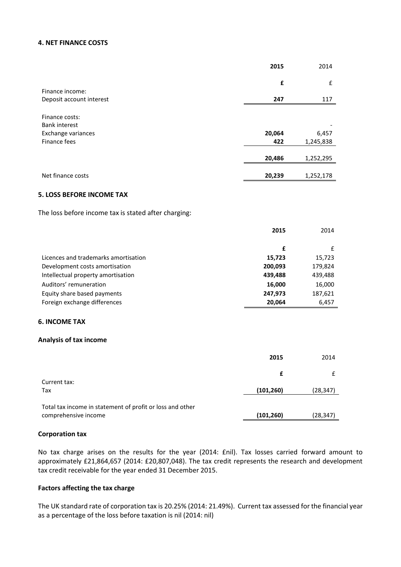#### **4. NET FINANCE COSTS**

|                                                           | 2015       | 2014      |
|-----------------------------------------------------------|------------|-----------|
|                                                           | £          | £         |
| Finance income:                                           |            |           |
| Deposit account interest                                  | 247        | 117       |
| Finance costs:                                            |            |           |
| <b>Bank interest</b>                                      |            |           |
| Exchange variances                                        | 20,064     | 6,457     |
| Finance fees                                              | 422        | 1,245,838 |
|                                                           | 20,486     | 1,252,295 |
| Net finance costs                                         | 20,239     | 1,252,178 |
| <b>5. LOSS BEFORE INCOME TAX</b>                          |            |           |
| The loss before income tax is stated after charging:      |            |           |
|                                                           | 2015       | 2014      |
|                                                           | £          | £         |
| Licences and trademarks amortisation                      | 15,723     | 15,723    |
| Development costs amortisation                            | 200,093    | 179,824   |
| Intellectual property amortisation                        | 439,488    | 439,488   |
| Auditors' remuneration                                    | 16,000     | 16,000    |
| Equity share based payments                               | 247,973    | 187,621   |
| Foreign exchange differences                              | 20,064     | 6,457     |
| <b>6. INCOME TAX</b>                                      |            |           |
| <b>Analysis of tax income</b>                             |            |           |
|                                                           | 2015       | 2014      |
|                                                           | £          | £         |
| Current tax:                                              |            |           |
| Tax                                                       | (101, 260) | (28, 347) |
| Total tax income in statement of profit or loss and other |            |           |
| comprehensive income                                      | (101, 260) | (28, 347) |

### **Corporation tax**

No tax charge arises on the results for the year (2014: £nil). Tax losses carried forward amount to approximately £21,864,657 (2014: £20,807,048). The tax credit represents the research and development tax credit receivable for the year ended 31 December 2015.

# **Factors affecting the tax charge**

The UK standard rate of corporation tax is 20.25% (2014: 21.49%). Current tax assessed for the financial year as a percentage of the loss before taxation is nil (2014: nil)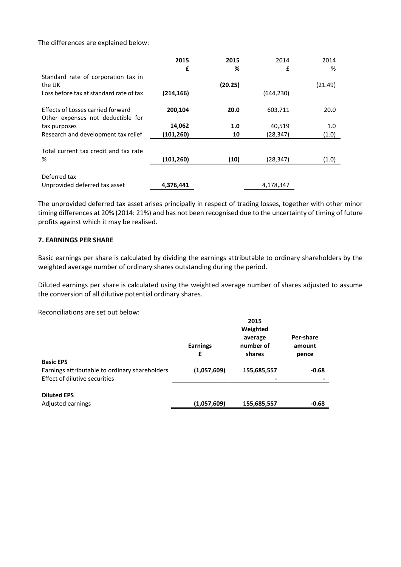The differences are explained below:

|                                                                        | 2015       | 2015    | 2014       | 2014    |
|------------------------------------------------------------------------|------------|---------|------------|---------|
|                                                                        | £          | %       | f          | %       |
| Standard rate of corporation tax in<br>the UK                          |            | (20.25) |            | (21.49) |
| Loss before tax at standard rate of tax                                | (214, 166) |         | (644, 230) |         |
| Effects of Losses carried forward<br>Other expenses not deductible for | 200,104    | 20.0    | 603,711    | 20.0    |
| tax purposes                                                           | 14,062     | 1.0     | 40,519     | 1.0     |
| Research and development tax relief                                    | (101, 260) | 10      | (28,347)   | (1.0)   |
| Total current tax credit and tax rate<br>%                             | (101, 260) | (10)    | (28,347)   | (1.0)   |
| Deferred tax<br>Unprovided deferred tax asset                          | 4,376,441  |         | 4,178,347  |         |
|                                                                        |            |         |            |         |

The unprovided deferred tax asset arises principally in respect of trading losses, together with other minor timing differences at 20% (2014: 21%) and has not been recognised due to the uncertainty of timing of future profits against which it may be realised.

#### **7. EARNINGS PER SHARE**

Basic earnings per share is calculated by dividing the earnings attributable to ordinary shareholders by the weighted average number of ordinary shares outstanding during the period.

Diluted earnings per share is calculated using the weighted average number of shares adjusted to assume the conversion of all dilutive potential ordinary shares.

Reconciliations are set out below:

|                                                                                                     | <b>Earnings</b><br>£ | 2015<br>Weighted<br>average<br>number of<br>shares | Per-share<br>amount<br>pence |
|-----------------------------------------------------------------------------------------------------|----------------------|----------------------------------------------------|------------------------------|
| <b>Basic EPS</b><br>Earnings attributable to ordinary shareholders<br>Effect of dilutive securities | (1,057,609)          | 155,685,557                                        | $-0.68$                      |
| <b>Diluted EPS</b><br>Adjusted earnings                                                             | (1,057,609)          | 155,685,557                                        | $-0.68$                      |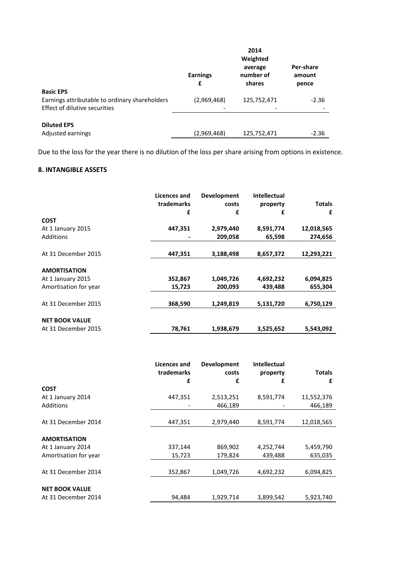|                                                                                 | <b>Earnings</b><br>£ | 2014<br>Weighted<br>average<br>number of<br>shares | Per-share<br>amount<br>pence |
|---------------------------------------------------------------------------------|----------------------|----------------------------------------------------|------------------------------|
| <b>Basic EPS</b>                                                                |                      |                                                    |                              |
| Earnings attributable to ordinary shareholders<br>Effect of dilutive securities | (2,969,468)          | 125,752,471                                        | $-2.36$                      |
| <b>Diluted EPS</b><br>Adjusted earnings                                         | (2,969,468)          | 125,752,471                                        | $-2.36$                      |

Due to the loss for the year there is no dilution of the loss per share arising from options in existence.

# **8. INTANGIBLE ASSETS**

| <b>COST</b>           | Licences and<br>trademarks<br>£ | <b>Development</b><br>costs<br>£ | <b>Intellectual</b><br>property<br>£ | <b>Totals</b><br>£ |
|-----------------------|---------------------------------|----------------------------------|--------------------------------------|--------------------|
|                       |                                 |                                  |                                      |                    |
| At 1 January 2015     | 447,351                         | 2,979,440                        | 8,591,774                            | 12,018,565         |
| Additions             |                                 | 209,058                          | 65,598                               | 274,656            |
|                       |                                 |                                  |                                      |                    |
| At 31 December 2015   | 447,351                         | 3,188,498                        | 8,657,372                            | 12,293,221         |
| <b>AMORTISATION</b>   |                                 |                                  |                                      |                    |
| At 1 January 2015     | 352,867                         | 1,049,726                        | 4,692,232                            | 6,094,825          |
| Amortisation for year | 15,723                          | 200,093                          | 439,488                              | 655,304            |
| At 31 December 2015   | 368,590                         | 1,249,819                        | 5,131,720                            | 6,750,129          |
| <b>NET BOOK VALUE</b> |                                 |                                  |                                      |                    |
| At 31 December 2015   | 78,761                          | 1,938,679                        | 3,525,652                            | 5,543,092          |

|                       | Licences and | <b>Development</b> | <b>Intellectual</b> |               |
|-----------------------|--------------|--------------------|---------------------|---------------|
|                       | trademarks   | costs              | property            | <b>Totals</b> |
|                       | £            | £                  | £                   | £             |
| <b>COST</b>           |              |                    |                     |               |
| At 1 January 2014     | 447,351      | 2,513,251          | 8,591,774           | 11,552,376    |
| Additions             |              | 466,189            |                     | 466,189       |
|                       |              |                    |                     |               |
| At 31 December 2014   | 447,351      | 2,979,440          | 8,591,774           | 12,018,565    |
|                       |              |                    |                     |               |
| <b>AMORTISATION</b>   |              |                    |                     |               |
| At 1 January 2014     | 337,144      | 869,902            | 4,252,744           | 5,459,790     |
| Amortisation for year | 15,723       | 179,824            | 439,488             | 635,035       |
|                       |              |                    |                     |               |
| At 31 December 2014   | 352,867      | 1,049,726          | 4,692,232           | 6,094,825     |
|                       |              |                    |                     |               |
| <b>NET BOOK VALUE</b> |              |                    |                     |               |
| At 31 December 2014   | 94,484       | 1,929,714          | 3,899,542           | 5,923,740     |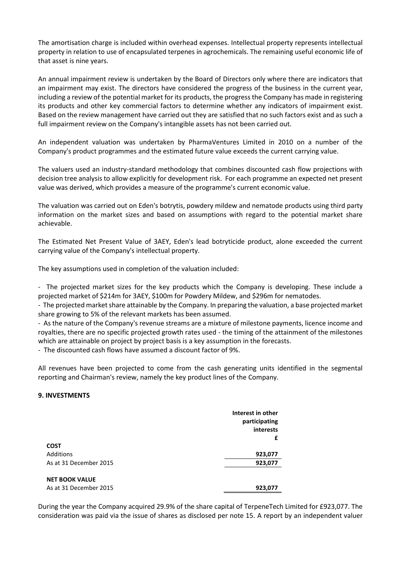The amortisation charge is included within overhead expenses. Intellectual property represents intellectual property in relation to use of encapsulated terpenes in agrochemicals. The remaining useful economic life of that asset is nine years.

An annual impairment review is undertaken by the Board of Directors only where there are indicators that an impairment may exist. The directors have considered the progress of the business in the current year, including a review of the potential market for its products, the progress the Company has made in registering its products and other key commercial factors to determine whether any indicators of impairment exist. Based on the review management have carried out they are satisfied that no such factors exist and as such a full impairment review on the Company's intangible assets has not been carried out.

An independent valuation was undertaken by PharmaVentures Limited in 2010 on a number of the Company's product programmes and the estimated future value exceeds the current carrying value.

The valuers used an industry-standard methodology that combines discounted cash flow projections with decision tree analysis to allow explicitly for development risk. For each programme an expected net present value was derived, which provides a measure of the programme's current economic value.

The valuation was carried out on Eden's botrytis, powdery mildew and nematode products using third party information on the market sizes and based on assumptions with regard to the potential market share achievable.

The Estimated Net Present Value of 3AEY, Eden's lead botryticide product, alone exceeded the current carrying value of the Company's intellectual property.

The key assumptions used in completion of the valuation included:

- The projected market sizes for the key products which the Company is developing. These include a projected market of \$214m for 3AEY, \$100m for Powdery Mildew, and \$296m for nematodes.

- The projected market share attainable by the Company. In preparing the valuation, a base projected market share growing to 5% of the relevant markets has been assumed.

- As the nature of the Company's revenue streams are a mixture of milestone payments, licence income and royalties, there are no specific projected growth rates used - the timing of the attainment of the milestones which are attainable on project by project basis is a key assumption in the forecasts.

- The discounted cash flows have assumed a discount factor of 9%.

All revenues have been projected to come from the cash generating units identified in the segmental reporting and Chairman's review, namely the key product lines of the Company.

## **9. INVESTMENTS**

|                        | Interest in other<br>participating<br>interests<br>£ |
|------------------------|------------------------------------------------------|
| <b>COST</b>            |                                                      |
| Additions              | 923,077                                              |
| As at 31 December 2015 | 923,077                                              |
| <b>NET BOOK VALUE</b>  |                                                      |
| As at 31 December 2015 | 923,077                                              |

During the year the Company acquired 29.9% of the share capital of TerpeneTech Limited for £923,077. The consideration was paid via the issue of shares as disclosed per note 15. A report by an independent valuer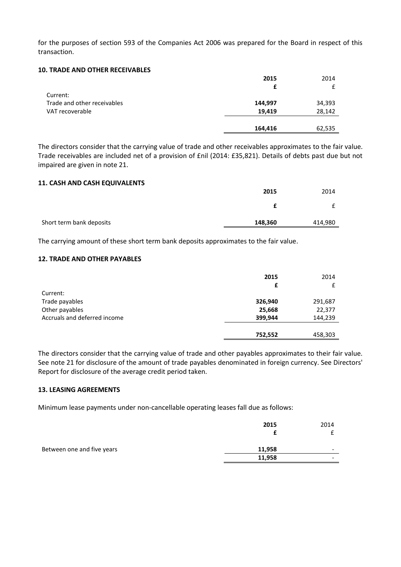for the purposes of section 593 of the Companies Act 2006 was prepared for the Board in respect of this transaction.

#### **10. TRADE AND OTHER RECEIVABLES**

|                             | 2015    | 2014   |
|-----------------------------|---------|--------|
|                             |         |        |
| Current:                    |         |        |
| Trade and other receivables | 144,997 | 34,393 |
| VAT recoverable             | 19,419  | 28,142 |
|                             |         |        |
|                             | 164,416 | 62,535 |

The directors consider that the carrying value of trade and other receivables approximates to the fair value. Trade receivables are included net of a provision of £nil (2014: £35,821). Details of debts past due but not impaired are given in note 21.

#### **11. CASH AND CASH EQUIVALENTS**

|                          | 2015    | 2014    |
|--------------------------|---------|---------|
|                          |         |         |
| Short term bank deposits | 148,360 | 414,980 |

The carrying amount of these short term bank deposits approximates to the fair value.

### **12. TRADE AND OTHER PAYABLES**

|                              | 2015<br>£ | 2014<br>£ |
|------------------------------|-----------|-----------|
| Current:                     |           |           |
| Trade payables               | 326,940   | 291,687   |
| Other payables               | 25,668    | 22,377    |
| Accruals and deferred income | 399,944   | 144,239   |
|                              | 752,552   | 458,303   |

The directors consider that the carrying value of trade and other payables approximates to their fair value. See note 21 for disclosure of the amount of trade payables denominated in foreign currency. See Directors' Report for disclosure of the average credit period taken.

#### **13. LEASING AGREEMENTS**

Minimum lease payments under non-cancellable operating leases fall due as follows:

|                            | 2015   | 2014 |
|----------------------------|--------|------|
|                            |        |      |
| Between one and five years | 11,958 | -    |
|                            | 11,958 | -    |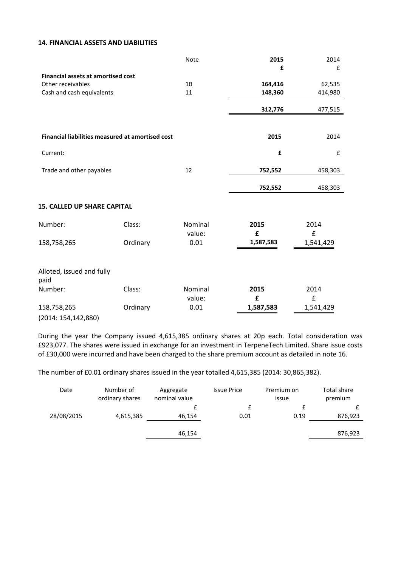#### **14. FINANCIAL ASSETS AND LIABILITIES**

|                                                  |          | Note              | 2015           | 2014           |
|--------------------------------------------------|----------|-------------------|----------------|----------------|
|                                                  |          |                   | £              | £              |
| <b>Financial assets at amortised cost</b>        |          |                   |                |                |
| Other receivables                                |          | 10                | 164,416        | 62,535         |
| Cash and cash equivalents                        |          | 11                | 148,360        | 414,980        |
|                                                  |          |                   | 312,776        | 477,515        |
|                                                  |          |                   |                |                |
| Financial liabilities measured at amortised cost |          |                   | 2015           | 2014           |
| Current:                                         |          |                   | £              | £              |
| Trade and other payables                         |          | 12                | 752,552        | 458,303        |
|                                                  |          |                   | 752,552        | 458,303        |
| <b>15. CALLED UP SHARE CAPITAL</b>               |          |                   |                |                |
| Number:                                          | Class:   | Nominal           | 2015           | 2014           |
| 158,758,265                                      | Ordinary | value:<br>0.01    | £<br>1,587,583 | £<br>1,541,429 |
| Alloted, issued and fully<br>paid                |          |                   |                |                |
| Number:                                          | Class:   | Nominal<br>value: | 2015<br>£      | 2014<br>£      |
| 158,758,265                                      | Ordinary | 0.01              | 1,587,583      | 1,541,429      |
| (2014: 154, 142, 880)                            |          |                   |                |                |
|                                                  |          |                   |                |                |

During the year the Company issued 4,615,385 ordinary shares at 20p each. Total consideration was £923,077. The shares were issued in exchange for an investment in TerpeneTech Limited. Share issue costs of £30,000 were incurred and have been charged to the share premium account as detailed in note 16.

The number of £0.01 ordinary shares issued in the year totalled 4,615,385 (2014: 30,865,382).

| Date       | Number of<br>ordinary shares | Aggregate<br>nominal value | <b>Issue Price</b> | Premium on<br>issue | Total share<br>premium |
|------------|------------------------------|----------------------------|--------------------|---------------------|------------------------|
|            |                              |                            |                    |                     |                        |
| 28/08/2015 | 4,615,385                    | 46,154                     | 0.01               | 0.19                | 876,923                |
|            |                              | 46,154                     |                    |                     | 876,923                |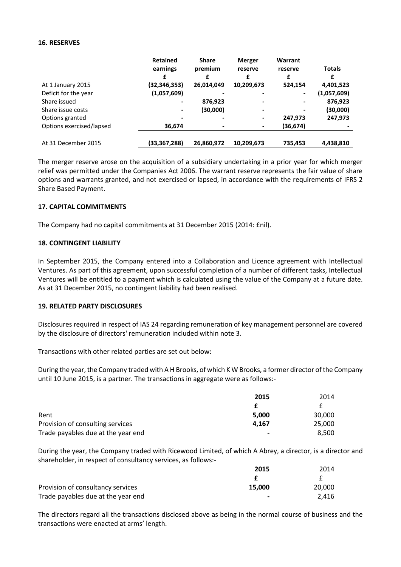#### **16. RESERVES**

|                          | <b>Retained</b><br>earnings<br>£ | <b>Share</b><br>premium | <b>Merger</b><br>reserve | Warrant<br>reserve<br>£ | <b>Totals</b><br>£ |
|--------------------------|----------------------------------|-------------------------|--------------------------|-------------------------|--------------------|
| At 1 January 2015        | (32, 346, 353)                   | 26,014,049              | 10,209,673               | 524,154                 | 4,401,523          |
| Deficit for the year     | (1,057,609)                      |                         |                          | -                       | (1,057,609)        |
| Share issued             |                                  | 876,923                 |                          |                         | 876,923            |
| Share issue costs        | $\blacksquare$                   | (30,000)                |                          |                         | (30,000)           |
| Options granted          |                                  |                         |                          | 247,973                 | 247,973            |
| Options exercised/lapsed | 36,674                           | $\,$                    |                          | (36,674)                |                    |
| At 31 December 2015      | (33,367,288)                     | 26,860,972              | 10,209,673               | 735,453                 | 4,438,810          |

The merger reserve arose on the acquisition of a subsidiary undertaking in a prior year for which merger relief was permitted under the Companies Act 2006. The warrant reserve represents the fair value of share options and warrants granted, and not exercised or lapsed, in accordance with the requirements of IFRS 2 Share Based Payment.

#### **17. CAPITAL COMMITMENTS**

The Company had no capital commitments at 31 December 2015 (2014: £nil).

#### **18. CONTINGENT LIABILITY**

In September 2015, the Company entered into a Collaboration and Licence agreement with Intellectual Ventures. As part of this agreement, upon successful completion of a number of different tasks, Intellectual Ventures will be entitled to a payment which is calculated using the value of the Company at a future date. As at 31 December 2015, no contingent liability had been realised.

### **19. RELATED PARTY DISCLOSURES**

Disclosures required in respect of IAS 24 regarding remuneration of key management personnel are covered by the disclosure of directors' remuneration included within note 3.

Transactions with other related parties are set out below:

During the year, the Company traded with A H Brooks, of which K W Brooks, a former director of the Company until 10 June 2015, is a partner. The transactions in aggregate were as follows:-

|                                    | 2015                     | 2014   |
|------------------------------------|--------------------------|--------|
|                                    |                          |        |
| Rent                               | 5.000                    | 30,000 |
| Provision of consulting services   | 4.167                    | 25,000 |
| Trade payables due at the year end | $\overline{\phantom{0}}$ | 8.500  |

During the year, the Company traded with Ricewood Limited, of which A Abrey, a director, is a director and shareholder, in respect of consultancy services, as follows:-

|                                    | 2015                     | 2014   |
|------------------------------------|--------------------------|--------|
|                                    |                          |        |
| Provision of consultancy services  | 15,000                   | 20,000 |
| Trade payables due at the year end | $\overline{\phantom{0}}$ | 2.416  |

The directors regard all the transactions disclosed above as being in the normal course of business and the transactions were enacted at arms' length.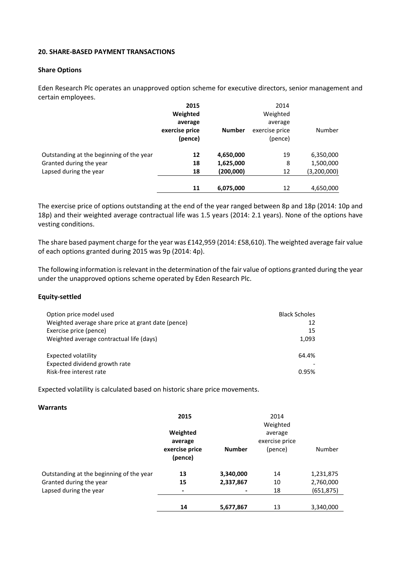#### **20. SHARE-BASED PAYMENT TRANSACTIONS**

#### **Share Options**

Eden Research Plc operates an unapproved option scheme for executive directors, senior management and certain employees.

|                                          | 2015           |               | 2014           |             |
|------------------------------------------|----------------|---------------|----------------|-------------|
|                                          | Weighted       |               | Weighted       |             |
|                                          | average        |               | average        |             |
|                                          | exercise price | <b>Number</b> | exercise price | Number      |
|                                          | (pence)        |               | (pence)        |             |
| Outstanding at the beginning of the year | 12             | 4,650,000     | 19             | 6,350,000   |
| Granted during the year                  | 18             | 1,625,000     | 8              | 1,500,000   |
| Lapsed during the year                   | 18             | (200,000)     | 12             | (3,200,000) |
|                                          | 11             | 6,075,000     | 12             | 4,650,000   |

The exercise price of options outstanding at the end of the year ranged between 8p and 18p (2014: 10p and 18p) and their weighted average contractual life was 1.5 years (2014: 2.1 years). None of the options have vesting conditions.

The share based payment charge for the year was £142,959 (2014: £58,610). The weighted average fair value of each options granted during 2015 was 9p (2014: 4p).

The following information is relevant in the determination of the fair value of options granted during the year under the unapproved options scheme operated by Eden Research Plc.

### **Equity-settled**

| Option price model used<br>Weighted average share price at grant date (pence) | <b>Black Scholes</b><br>12 |
|-------------------------------------------------------------------------------|----------------------------|
| Exercise price (pence)                                                        | 15                         |
| Weighted average contractual life (days)                                      | 1,093                      |
| Expected volatility                                                           | 64.4%                      |
| Expected dividend growth rate                                                 |                            |
| Risk-free interest rate                                                       | 0.95%                      |

Expected volatility is calculated based on historic share price movements.

#### **Warrants**

|                                          | 2015                     |               | 2014           |            |
|------------------------------------------|--------------------------|---------------|----------------|------------|
|                                          |                          |               | Weighted       |            |
|                                          | Weighted                 |               | average        |            |
|                                          | average                  |               | exercise price |            |
|                                          | exercise price           | <b>Number</b> | (pence)        | Number     |
|                                          | (pence)                  |               |                |            |
| Outstanding at the beginning of the year | 13                       | 3,340,000     | 14             | 1,231,875  |
| Granted during the year                  | 15                       | 2,337,867     | 10             | 2,760,000  |
| Lapsed during the year                   | $\overline{\phantom{0}}$ |               | 18             | (651, 875) |
|                                          |                          |               |                |            |
|                                          | 14                       | 5,677,867     | 13             | 3,340,000  |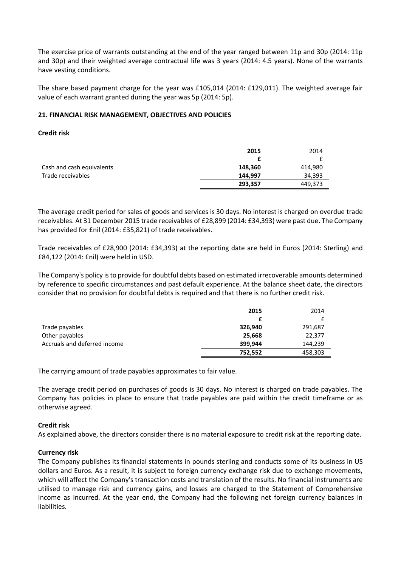The exercise price of warrants outstanding at the end of the year ranged between 11p and 30p (2014: 11p and 30p) and their weighted average contractual life was 3 years (2014: 4.5 years). None of the warrants have vesting conditions.

The share based payment charge for the year was £105,014 (2014: £129,011). The weighted average fair value of each warrant granted during the year was 5p (2014: 5p).

# **21. FINANCIAL RISK MANAGEMENT, OBJECTIVES AND POLICIES**

#### **Credit risk**

|                           | 2015    | 2014    |
|---------------------------|---------|---------|
|                           |         |         |
| Cash and cash equivalents | 148,360 | 414,980 |
| Trade receivables         | 144.997 | 34,393  |
|                           | 293,357 | 449,373 |

The average credit period for sales of goods and services is 30 days. No interest is charged on overdue trade receivables. At 31 December 2015 trade receivables of £28,899 (2014: £34,393) were past due. The Company has provided for £nil (2014: £35,821) of trade receivables.

Trade receivables of £28,900 (2014: £34,393) at the reporting date are held in Euros (2014: Sterling) and £84,122 (2014: £nil) were held in USD.

The Company's policy is to provide for doubtful debts based on estimated irrecoverable amounts determined by reference to specific circumstances and past default experience. At the balance sheet date, the directors consider that no provision for doubtful debts is required and that there is no further credit risk.

|                              | 2015    | 2014    |
|------------------------------|---------|---------|
|                              |         |         |
| Trade payables               | 326,940 | 291,687 |
| Other payables               | 25.668  | 22,377  |
| Accruals and deferred income | 399.944 | 144,239 |
|                              | 752,552 | 458,303 |

The carrying amount of trade payables approximates to fair value.

The average credit period on purchases of goods is 30 days. No interest is charged on trade payables. The Company has policies in place to ensure that trade payables are paid within the credit timeframe or as otherwise agreed.

### **Credit risk**

As explained above, the directors consider there is no material exposure to credit risk at the reporting date.

### **Currency risk**

The Company publishes its financial statements in pounds sterling and conducts some of its business in US dollars and Euros. As a result, it is subject to foreign currency exchange risk due to exchange movements, which will affect the Company's transaction costs and translation of the results. No financial instruments are utilised to manage risk and currency gains, and losses are charged to the Statement of Comprehensive Income as incurred. At the year end, the Company had the following net foreign currency balances in liabilities.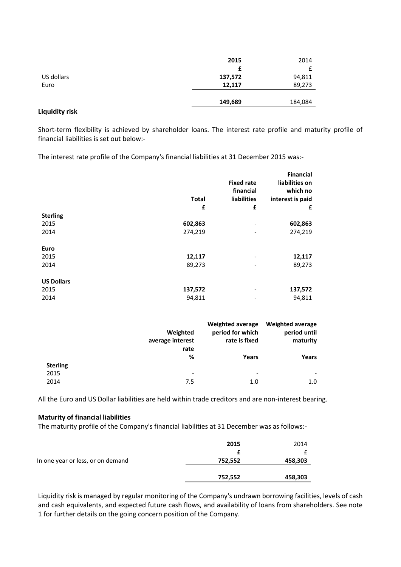|            | 2015    | 2014    |
|------------|---------|---------|
|            | £       |         |
| US dollars | 137,572 | 94,811  |
| Euro       | 12,117  | 89,273  |
|            |         |         |
|            | 149,689 | 184,084 |

# **Liquidity risk**

Short-term flexibility is achieved by shareholder loans. The interest rate profile and maturity profile of financial liabilities is set out below:-

The interest rate profile of the Company's financial liabilities at 31 December 2015 was:-

|                   | <b>Total</b><br>£ | <b>Fixed rate</b><br>financial<br>liabilities<br>£ | <b>Financial</b><br>liabilities on<br>which no<br>interest is paid<br>£ |
|-------------------|-------------------|----------------------------------------------------|-------------------------------------------------------------------------|
| <b>Sterling</b>   |                   |                                                    |                                                                         |
| 2015              | 602,863           | -                                                  | 602,863                                                                 |
| 2014              | 274,219           | $\qquad \qquad \blacksquare$                       | 274,219                                                                 |
| Euro              |                   |                                                    |                                                                         |
| 2015              | 12,117            | $\overline{\phantom{a}}$                           | 12,117                                                                  |
| 2014              | 89,273            | $\overline{\phantom{a}}$                           | 89,273                                                                  |
| <b>US Dollars</b> |                   |                                                    |                                                                         |
| 2015              | 137,572           | $\overline{\phantom{a}}$                           | 137,572                                                                 |
| 2014              | 94,811            |                                                    | 94,811                                                                  |

|                 | Weighted<br>average interest<br>rate | Weighted average<br>period for which<br>rate is fixed | Weighted average<br>period until<br>maturity |
|-----------------|--------------------------------------|-------------------------------------------------------|----------------------------------------------|
|                 | %                                    | Years                                                 | Years                                        |
| <b>Sterling</b> |                                      |                                                       |                                              |
| 2015            | $\overline{\phantom{a}}$             | ٠                                                     |                                              |
| 2014            | 7.5                                  | 1.0                                                   | 1.0                                          |

All the Euro and US Dollar liabilities are held within trade creditors and are non-interest bearing.

#### **Maturity of financial liabilities**

The maturity profile of the Company's financial liabilities at 31 December was as follows:-

|                                   | 2015    | 2014    |
|-----------------------------------|---------|---------|
|                                   |         |         |
| In one year or less, or on demand | 752,552 | 458,303 |
|                                   | 752,552 | 458,303 |

Liquidity risk is managed by regular monitoring of the Company's undrawn borrowing facilities, levels of cash and cash equivalents, and expected future cash flows, and availability of loans from shareholders. See note 1 for further details on the going concern position of the Company.